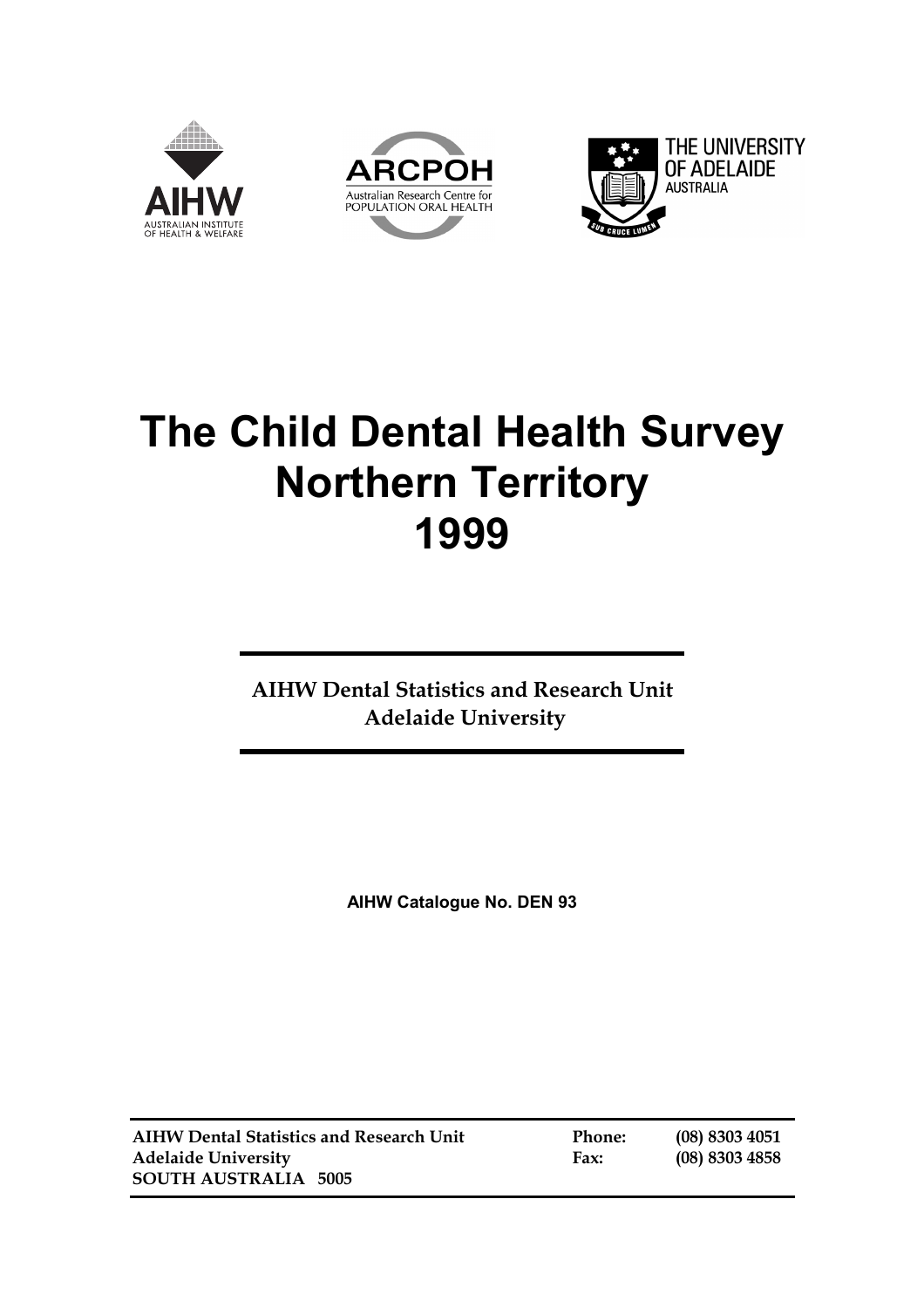





# **The Child Dental Health Survey Northern Territory 1999**

**AIHW Dental Statistics and Research Unit Adelaide University**

**AIHW Catalogue No. DEN 93** 

**AIHW Dental Statistics and Research Unit Phone: (08) 8303 4051 Adelaide University Fax: (08) 8303 4858 SOUTH AUSTRALIA 5005**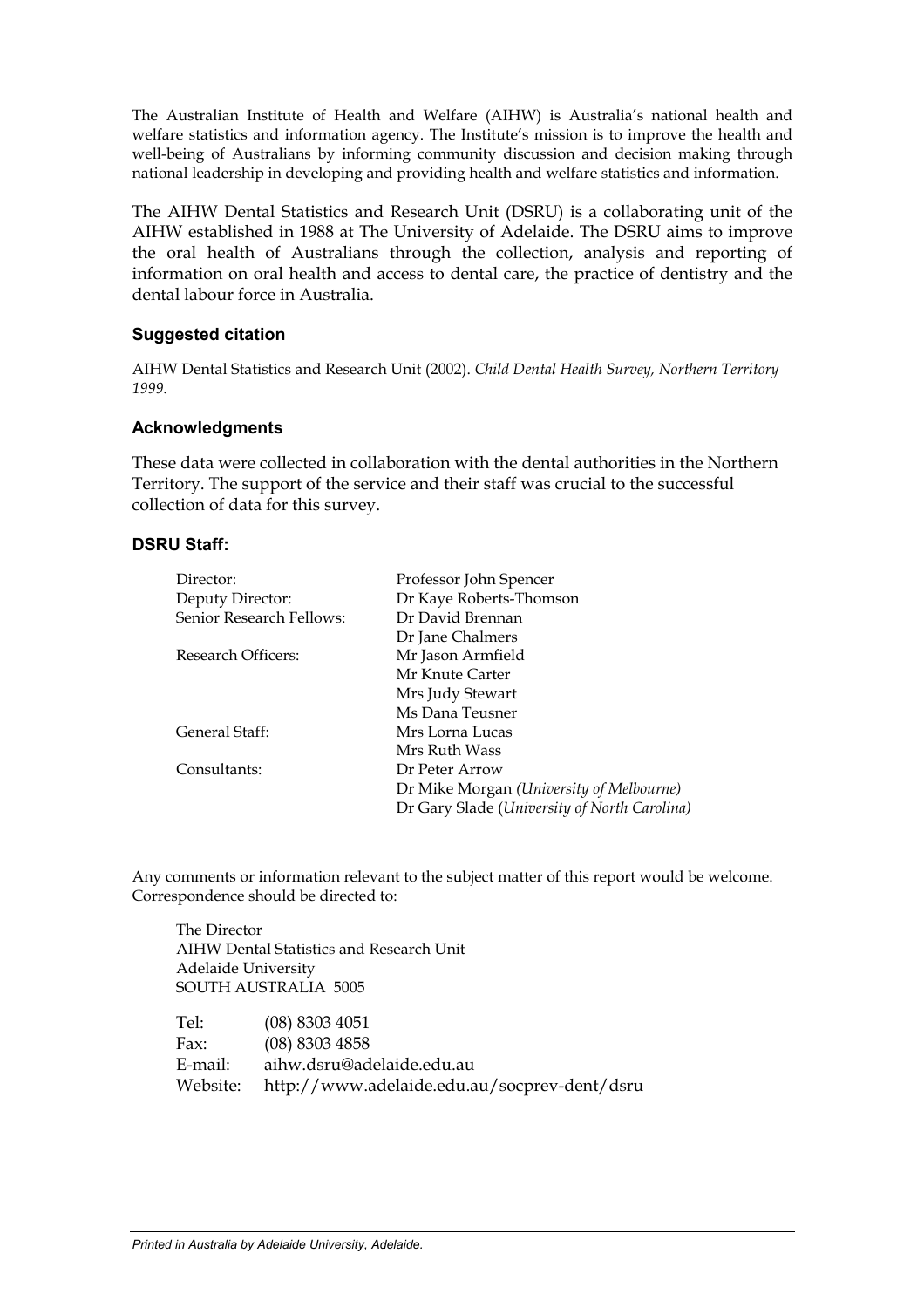The Australian Institute of Health and Welfare (AIHW) is Australia's national health and welfare statistics and information agency. The Institute's mission is to improve the health and well-being of Australians by informing community discussion and decision making through national leadership in developing and providing health and welfare statistics and information.

The AIHW Dental Statistics and Research Unit (DSRU) is a collaborating unit of the AIHW established in 1988 at The University of Adelaide. The DSRU aims to improve the oral health of Australians through the collection, analysis and reporting of information on oral health and access to dental care, the practice of dentistry and the dental labour force in Australia.

#### **Suggested citation**

AIHW Dental Statistics and Research Unit (2002). *Child Dental Health Survey, Northern Territory 1999*.

#### **Acknowledgments**

These data were collected in collaboration with the dental authorities in the Northern Territory. The support of the service and their staff was crucial to the successful collection of data for this survey.

#### **DSRU Staff:**

| Director:                | Professor John Spencer                       |
|--------------------------|----------------------------------------------|
| Deputy Director:         | Dr Kaye Roberts-Thomson                      |
| Senior Research Fellows: | Dr David Brennan                             |
|                          | Dr Jane Chalmers                             |
| Research Officers:       | Mr Jason Armfield                            |
|                          | Mr Knute Carter                              |
|                          | Mrs Judy Stewart                             |
|                          | Ms Dana Teusner                              |
| General Staff:           | Mrs Lorna Lucas                              |
|                          | Mrs Ruth Wass                                |
| Consultants:             | Dr Peter Arrow                               |
|                          | Dr Mike Morgan (University of Melbourne)     |
|                          | Dr Gary Slade (University of North Carolina) |

Any comments or information relevant to the subject matter of this report would be welcome. Correspondence should be directed to:

 The Director AIHW Dental Statistics and Research Unit Adelaide University SOUTH AUSTRALIA 5005

| Tel:     | $(08)$ 8303 4051                             |
|----------|----------------------------------------------|
| Fax:     | $(08)$ 8303 4858                             |
| E-mail:  | aihw.dsru@adelaide.edu.au                    |
| Website: | http://www.adelaide.edu.au/socprev-dent/dsru |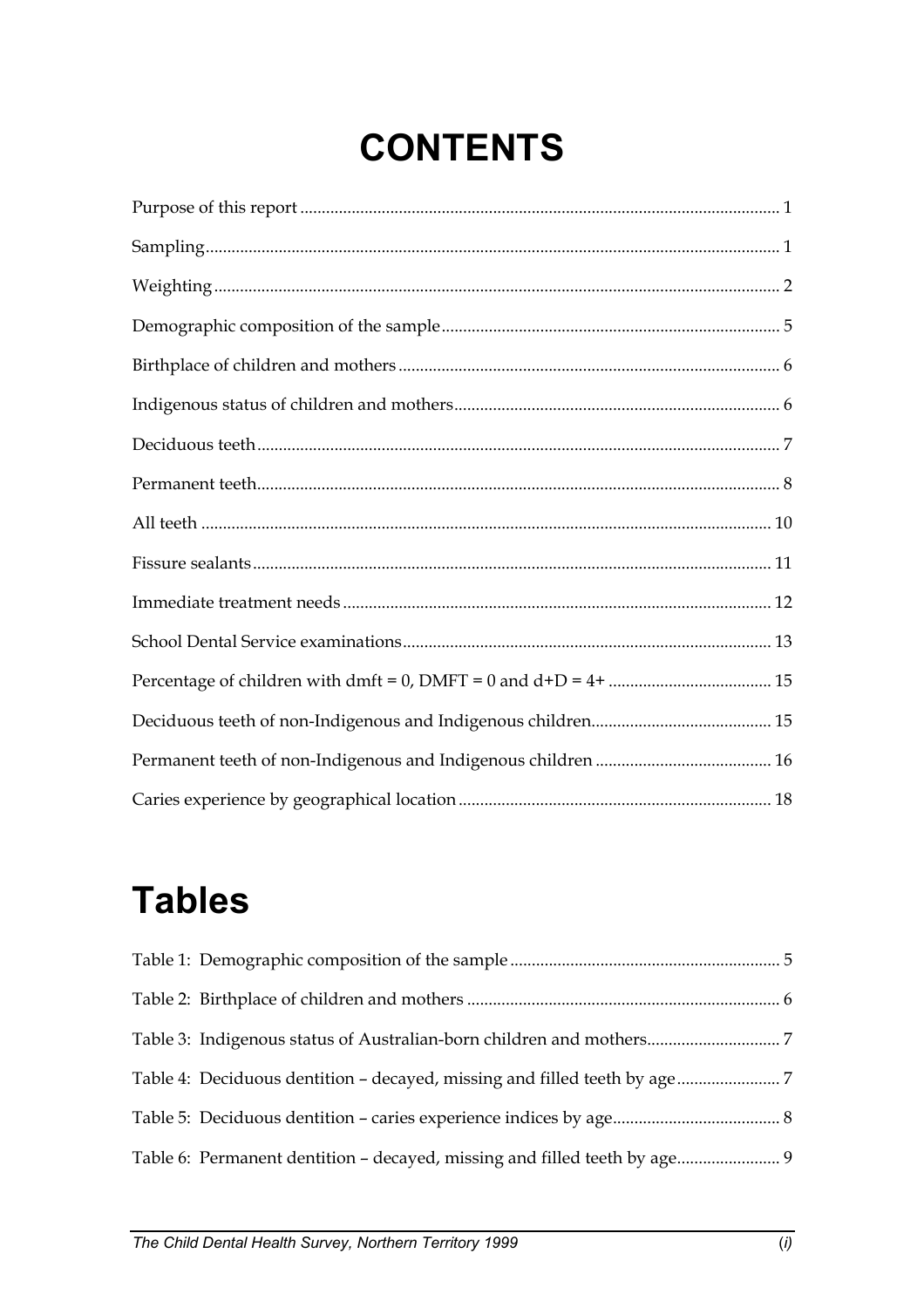# **CONTENTS**

# **Tables**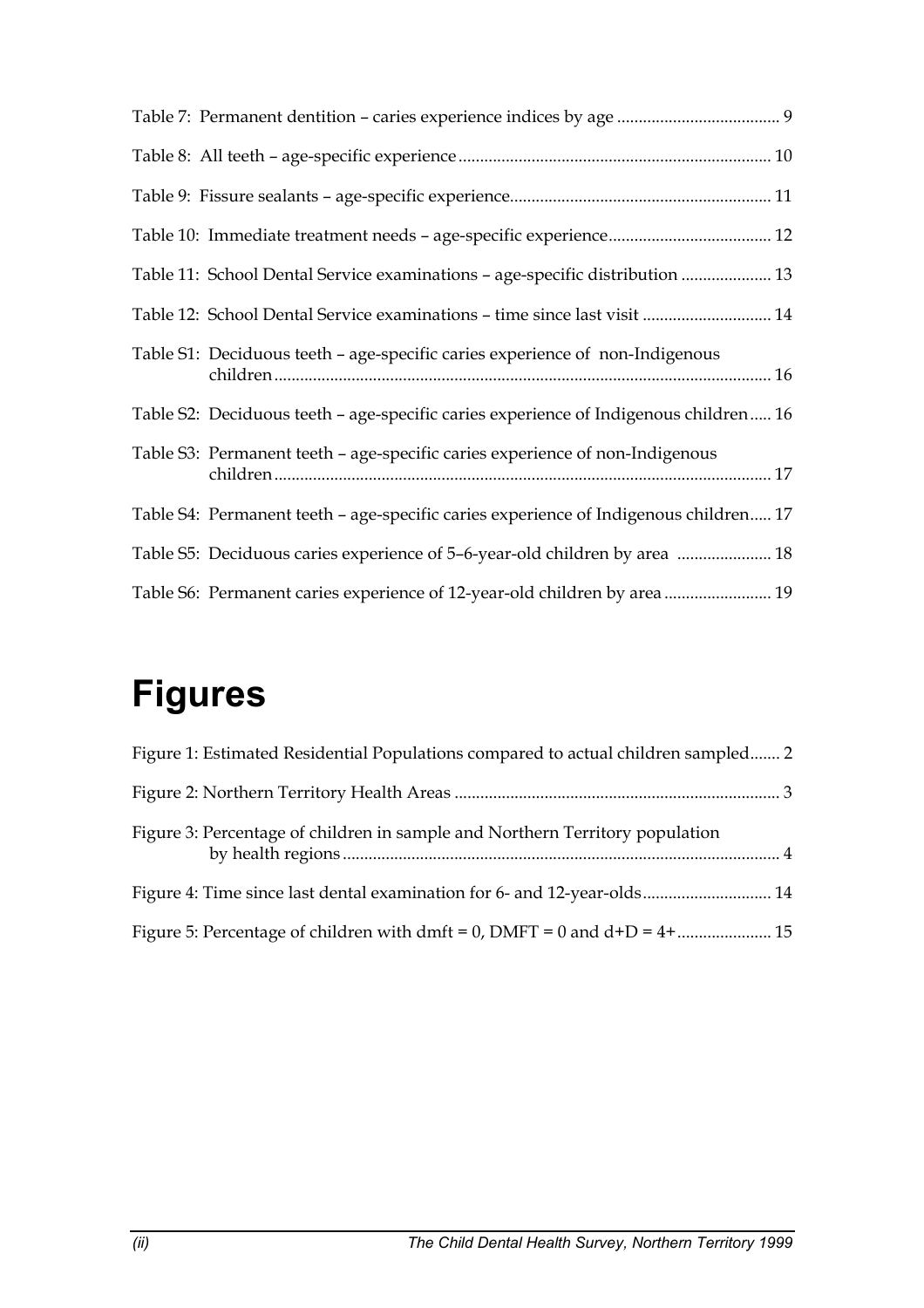| Table 11: School Dental Service examinations - age-specific distribution  13         |
|--------------------------------------------------------------------------------------|
| Table 12: School Dental Service examinations - time since last visit  14             |
| Table S1: Deciduous teeth - age-specific caries experience of non-Indigenous         |
| Table S2: Deciduous teeth - age-specific caries experience of Indigenous children 16 |
| Table S3: Permanent teeth – age-specific caries experience of non-Indigenous         |
| Table S4: Permanent teeth - age-specific caries experience of Indigenous children 17 |
| Table S5: Deciduous caries experience of 5-6-year-old children by area  18           |
| Table S6: Permanent caries experience of 12-year-old children by area  19            |

# **Figures**

| Figure 1: Estimated Residential Populations compared to actual children sampled 2 |  |
|-----------------------------------------------------------------------------------|--|
|                                                                                   |  |
| Figure 3: Percentage of children in sample and Northern Territory population      |  |
| Figure 4: Time since last dental examination for 6- and 12-year-olds 14           |  |
|                                                                                   |  |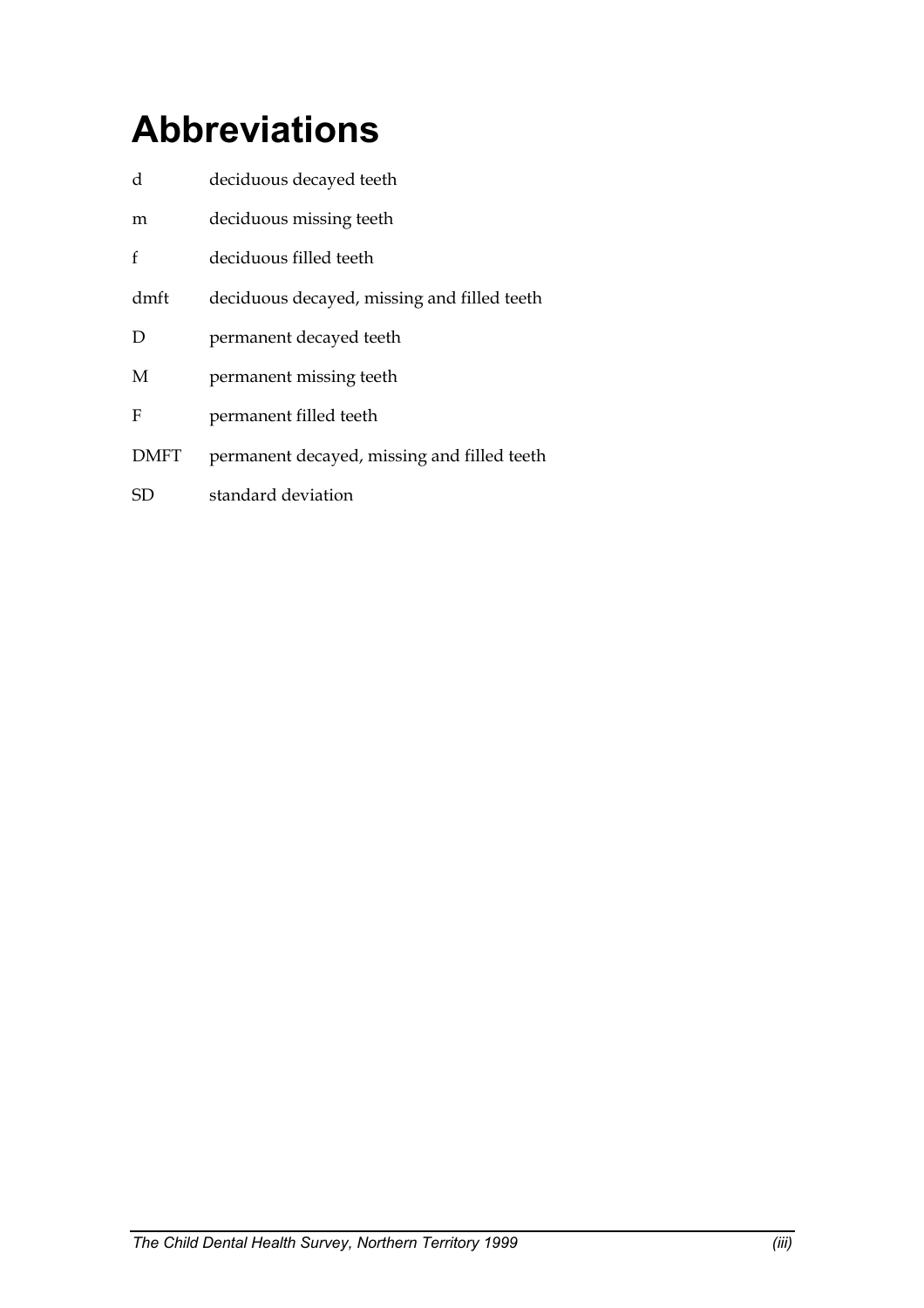# **Abbreviations**

| d           | deciduous decayed teeth                     |
|-------------|---------------------------------------------|
| m           | deciduous missing teeth                     |
| f           | deciduous filled teeth                      |
| dmft        | deciduous decayed, missing and filled teeth |
| D           | permanent decayed teeth                     |
| M           | permanent missing teeth                     |
| F           | permanent filled teeth                      |
| <b>DMFT</b> | permanent decayed, missing and filled teeth |
| SD          | standard deviation                          |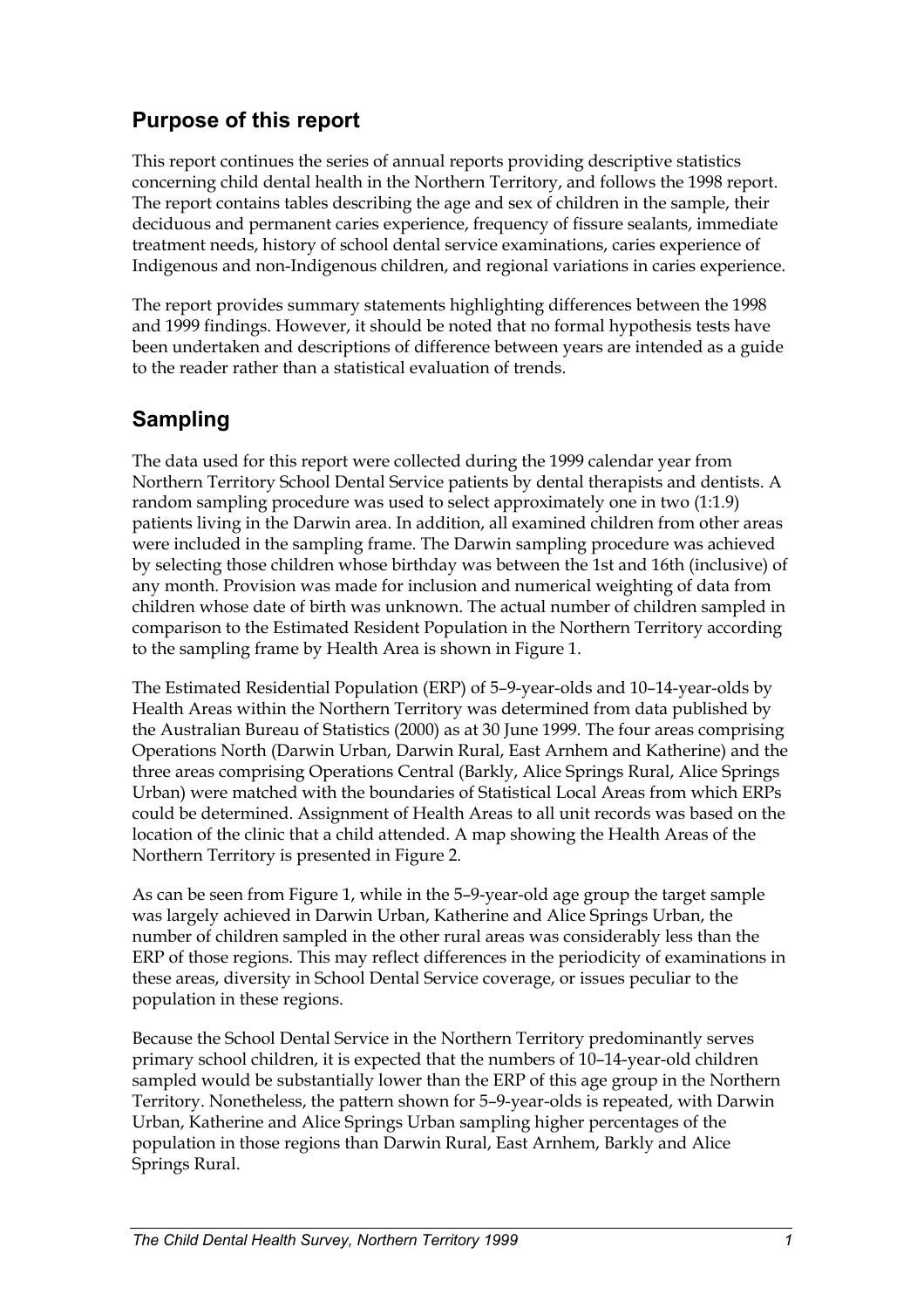# <span id="page-5-0"></span>**Purpose of this report**

This report continues the series of annual reports providing descriptive statistics concerning child dental health in the Northern Territory, and follows the 1998 report. The report contains tables describing the age and sex of children in the sample, their deciduous and permanent caries experience, frequency of fissure sealants, immediate treatment needs, history of school dental service examinations, caries experience of Indigenous and non-Indigenous children, and regional variations in caries experience.

The report provides summary statements highlighting differences between the 1998 and 1999 findings. However, it should be noted that no formal hypothesis tests have been undertaken and descriptions of difference between years are intended as a guide to the reader rather than a statistical evaluation of trends.

# **Sampling**

The data used for this report were collected during the 1999 calendar year from Northern Territory School Dental Service patients by dental therapists and dentists. A random sampling procedure was used to select approximately one in two (1:1.9) patients living in the Darwin area. In addition, all examined children from other areas were included in the sampling frame. The Darwin sampling procedure was achieved by selecting those children whose birthday was between the 1st and 16th (inclusive) of any month. Provision was made for inclusion and numerical weighting of data from children whose date of birth was unknown. The actual number of children sampled in comparison to the Estimated Resident Population in the Northern Territory according to the sampling frame by Health Area is shown in Figure 1.

The Estimated Residential Population (ERP) of 5–9-year-olds and 10–14-year-olds by Health Areas within the Northern Territory was determined from data published by the Australian Bureau of Statistics (2000) as at 30 June 1999. The four areas comprising Operations North (Darwin Urban, Darwin Rural, East Arnhem and Katherine) and the three areas comprising Operations Central (Barkly, Alice Springs Rural, Alice Springs Urban) were matched with the boundaries of Statistical Local Areas from which ERPs could be determined. Assignment of Health Areas to all unit records was based on the location of the clinic that a child attended. A map showing the Health Areas of the Northern Territory is presented in Figure 2.

As can be seen from Figure 1, while in the 5–9-year-old age group the target sample was largely achieved in Darwin Urban, Katherine and Alice Springs Urban, the number of children sampled in the other rural areas was considerably less than the ERP of those regions. This may reflect differences in the periodicity of examinations in these areas, diversity in School Dental Service coverage, or issues peculiar to the population in these regions.

Because the School Dental Service in the Northern Territory predominantly serves primary school children, it is expected that the numbers of 10–14-year-old children sampled would be substantially lower than the ERP of this age group in the Northern Territory. Nonetheless, the pattern shown for 5–9-year-olds is repeated, with Darwin Urban, Katherine and Alice Springs Urban sampling higher percentages of the population in those regions than Darwin Rural, East Arnhem, Barkly and Alice Springs Rural.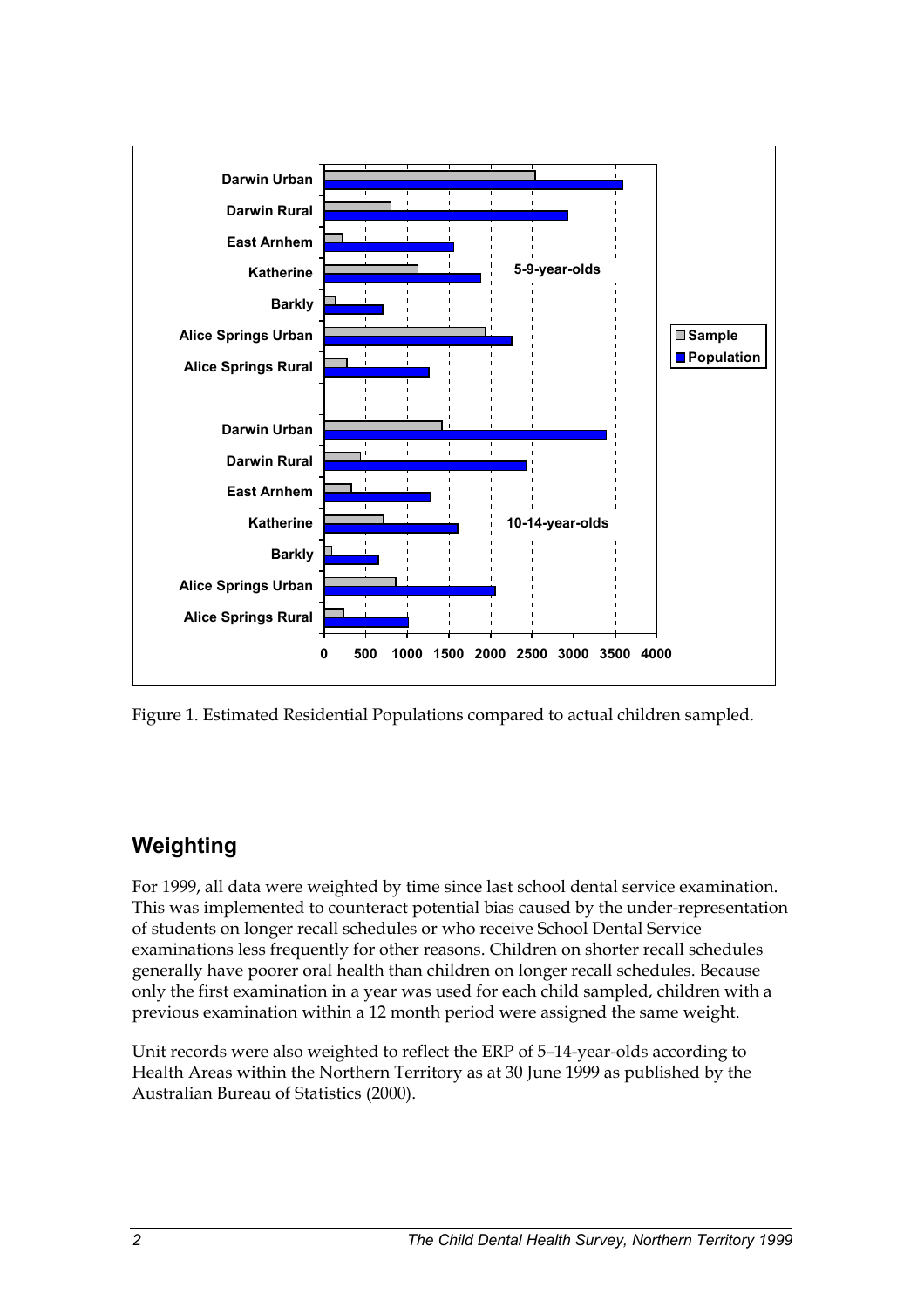

Figure 1. Estimated Residential Populations compared to actual children sampled.

# **Weighting**

For 1999, all data were weighted by time since last school dental service examination. This was implemented to counteract potential bias caused by the under-representation of students on longer recall schedules or who receive School Dental Service examinations less frequently for other reasons. Children on shorter recall schedules generally have poorer oral health than children on longer recall schedules. Because only the first examination in a year was used for each child sampled, children with a previous examination within a 12 month period were assigned the same weight.

Unit records were also weighted to reflect the ERP of 5–14-year-olds according to Health Areas within the Northern Territory as at 30 June 1999 as published by the Australian Bureau of Statistics (2000).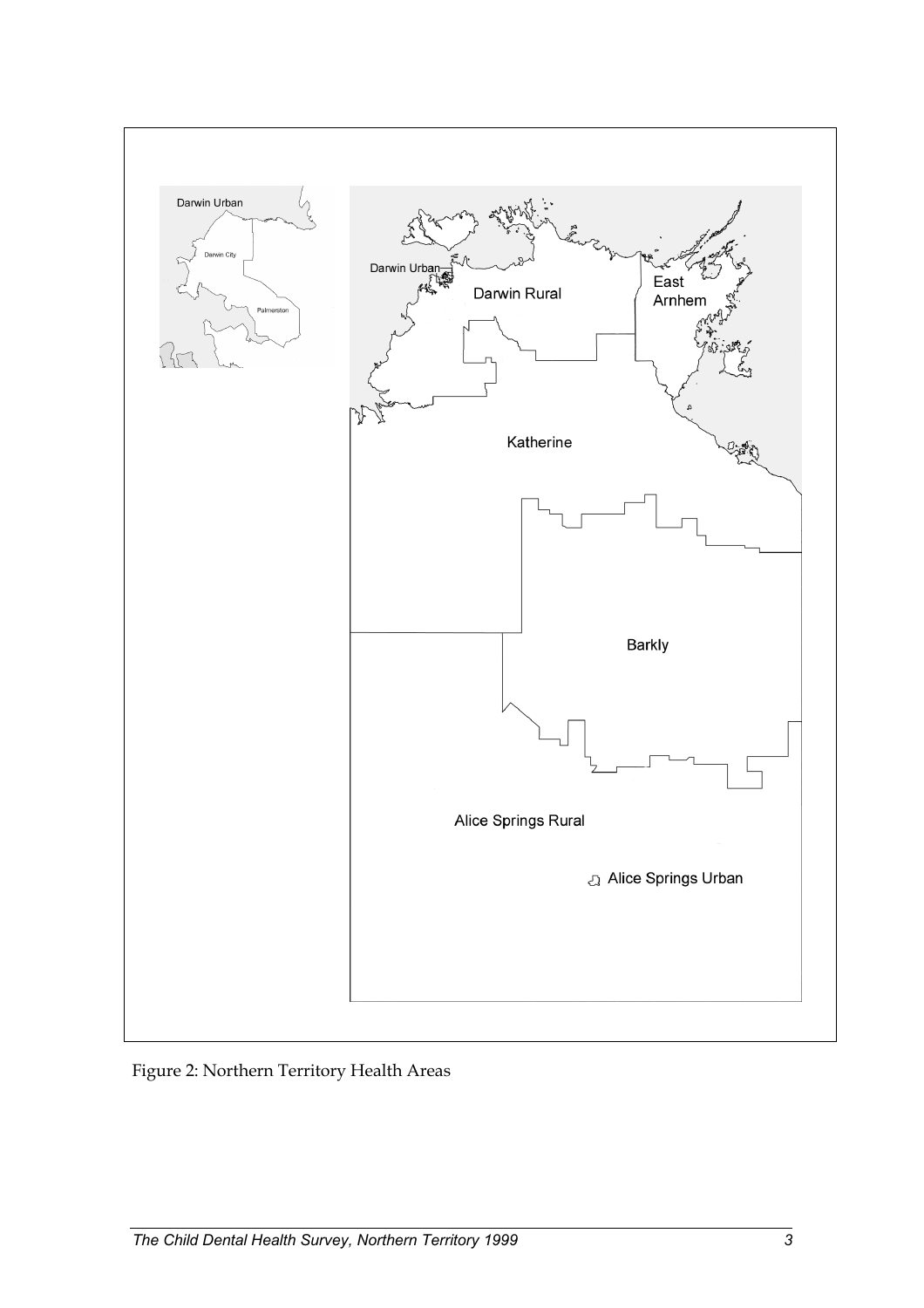

Figure 2: Northern Territory Health Areas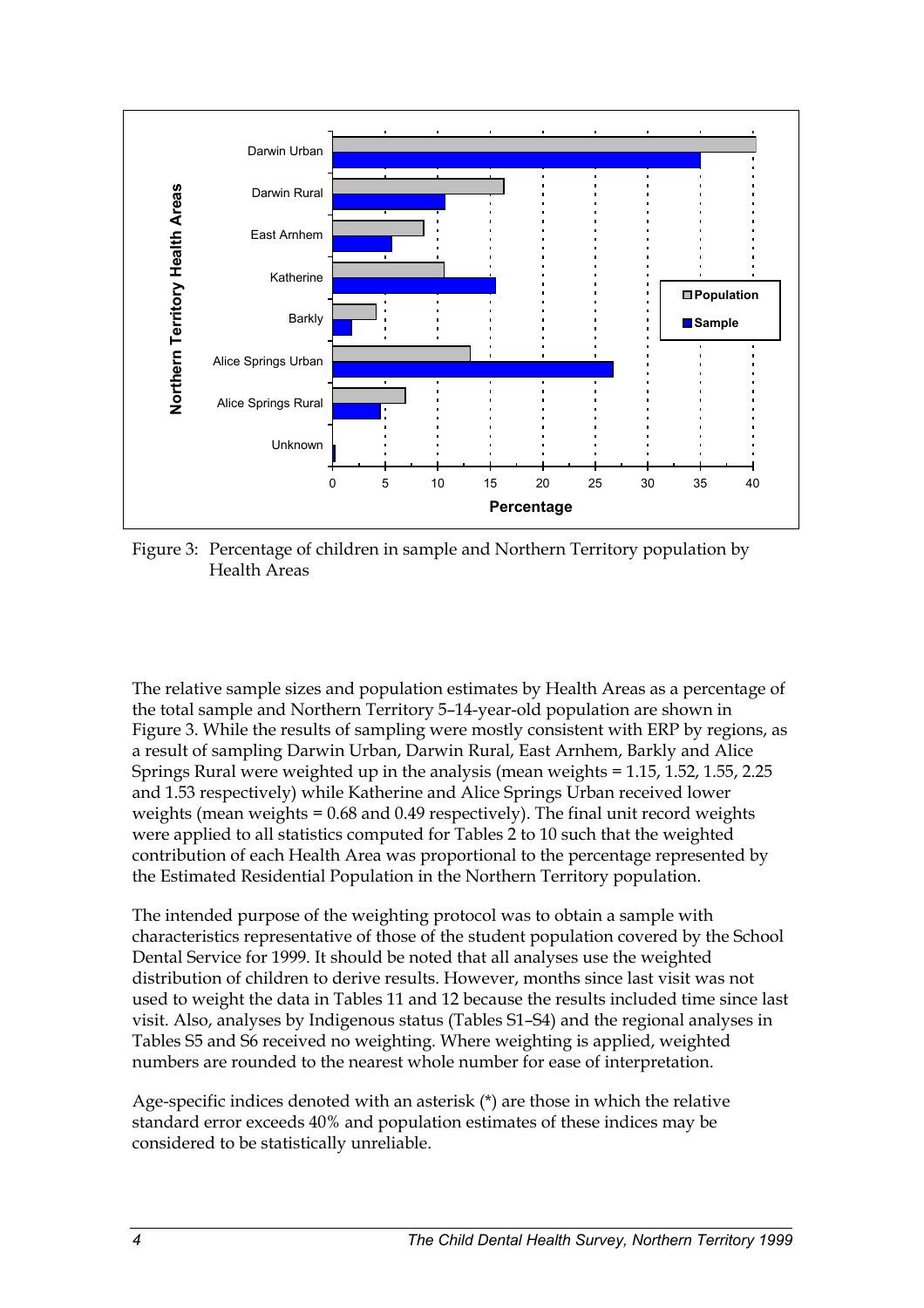

Figure 3: Percentage of children in sample and Northern Territory population by Health Areas

The relative sample sizes and population estimates by Health Areas as a percentage of the total sample and Northern Territory 5–14-year-old population are shown in Figure 3. While the results of sampling were mostly consistent with ERP by regions, as a result of sampling Darwin Urban, Darwin Rural, East Arnhem, Barkly and Alice Springs Rural were weighted up in the analysis (mean weights = 1.15, 1.52, 1.55, 2.25 and 1.53 respectively) while Katherine and Alice Springs Urban received lower weights (mean weights = 0.68 and 0.49 respectively). The final unit record weights were applied to all statistics computed for Tables 2 to 10 such that the weighted contribution of each Health Area was proportional to the percentage represented by the Estimated Residential Population in the Northern Territory population.

The intended purpose of the weighting protocol was to obtain a sample with characteristics representative of those of the student population covered by the School Dental Service for 1999. It should be noted that all analyses use the weighted distribution of children to derive results. However, months since last visit was not used to weight the data in Tables 11 and 12 because the results included time since last visit. Also, analyses by Indigenous status (Tables S1–S4) and the regional analyses in Tables S5 and S6 received no weighting. Where weighting is applied, weighted numbers are rounded to the nearest whole number for ease of interpretation.

Age-specific indices denoted with an asterisk (\*) are those in which the relative standard error exceeds 40% and population estimates of these indices may be considered to be statistically unreliable.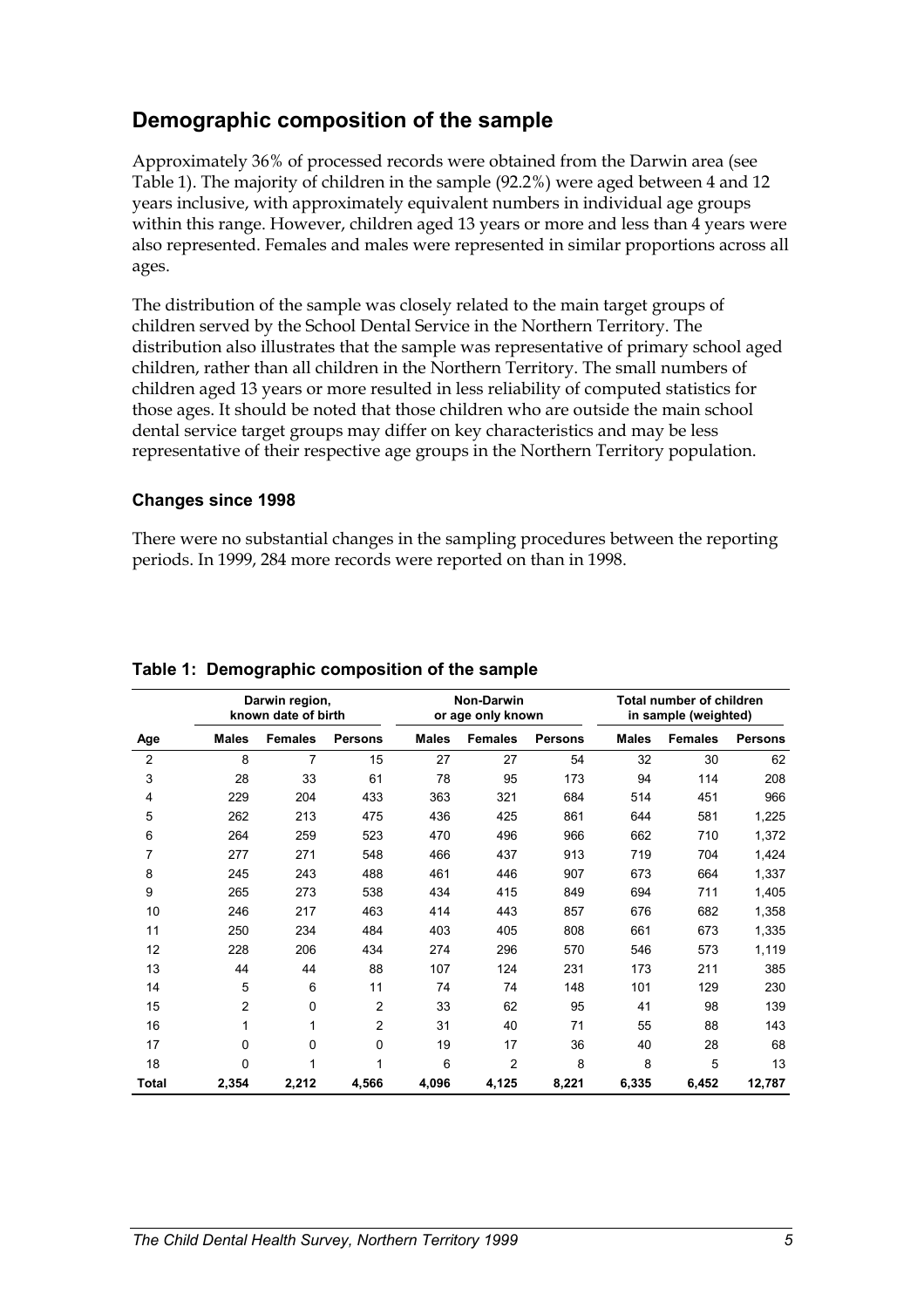## **Demographic composition of the sample**

Approximately 36% of processed records were obtained from the Darwin area (see Table 1). The majority of children in the sample (92.2%) were aged between 4 and 12 years inclusive, with approximately equivalent numbers in individual age groups within this range. However, children aged 13 years or more and less than 4 years were also represented. Females and males were represented in similar proportions across all ages.

The distribution of the sample was closely related to the main target groups of children served by the School Dental Service in the Northern Territory. The distribution also illustrates that the sample was representative of primary school aged children, rather than all children in the Northern Territory. The small numbers of children aged 13 years or more resulted in less reliability of computed statistics for those ages. It should be noted that those children who are outside the main school dental service target groups may differ on key characteristics and may be less representative of their respective age groups in the Northern Territory population.

#### **Changes since 1998**

There were no substantial changes in the sampling procedures between the reporting periods. In 1999, 284 more records were reported on than in 1998.

|                | Darwin region,<br>known date of birth |                | Non-Darwin<br>or age only known |              |                | Total number of children<br>in sample (weighted) |              |                |                |
|----------------|---------------------------------------|----------------|---------------------------------|--------------|----------------|--------------------------------------------------|--------------|----------------|----------------|
| Age            | <b>Males</b>                          | <b>Females</b> | <b>Persons</b>                  | <b>Males</b> | <b>Females</b> | <b>Persons</b>                                   | <b>Males</b> | <b>Females</b> | <b>Persons</b> |
| $\overline{2}$ | 8                                     | 7              | 15                              | 27           | 27             | 54                                               | 32           | 30             | 62             |
| 3              | 28                                    | 33             | 61                              | 78           | 95             | 173                                              | 94           | 114            | 208            |
| 4              | 229                                   | 204            | 433                             | 363          | 321            | 684                                              | 514          | 451            | 966            |
| 5              | 262                                   | 213            | 475                             | 436          | 425            | 861                                              | 644          | 581            | 1,225          |
| 6              | 264                                   | 259            | 523                             | 470          | 496            | 966                                              | 662          | 710            | 1,372          |
| 7              | 277                                   | 271            | 548                             | 466          | 437            | 913                                              | 719          | 704            | 1,424          |
| 8              | 245                                   | 243            | 488                             | 461          | 446            | 907                                              | 673          | 664            | 1,337          |
| 9              | 265                                   | 273            | 538                             | 434          | 415            | 849                                              | 694          | 711            | 1,405          |
| 10             | 246                                   | 217            | 463                             | 414          | 443            | 857                                              | 676          | 682            | 1,358          |
| 11             | 250                                   | 234            | 484                             | 403          | 405            | 808                                              | 661          | 673            | 1,335          |
| 12             | 228                                   | 206            | 434                             | 274          | 296            | 570                                              | 546          | 573            | 1,119          |
| 13             | 44                                    | 44             | 88                              | 107          | 124            | 231                                              | 173          | 211            | 385            |
| 14             | 5                                     | 6              | 11                              | 74           | 74             | 148                                              | 101          | 129            | 230            |
| 15             | $\overline{2}$                        | 0              | $\overline{2}$                  | 33           | 62             | 95                                               | 41           | 98             | 139            |
| 16             | 1                                     | 1              | $\overline{2}$                  | 31           | 40             | 71                                               | 55           | 88             | 143            |
| 17             | $\mathbf 0$                           | 0              | 0                               | 19           | 17             | 36                                               | 40           | 28             | 68             |
| 18             | 0                                     | 1              | 1                               | 6            | $\overline{2}$ | 8                                                | 8            | 5              | 13             |
| <b>Total</b>   | 2,354                                 | 2,212          | 4,566                           | 4,096        | 4,125          | 8,221                                            | 6,335        | 6,452          | 12,787         |

## **Table 1: Demographic composition of the sample**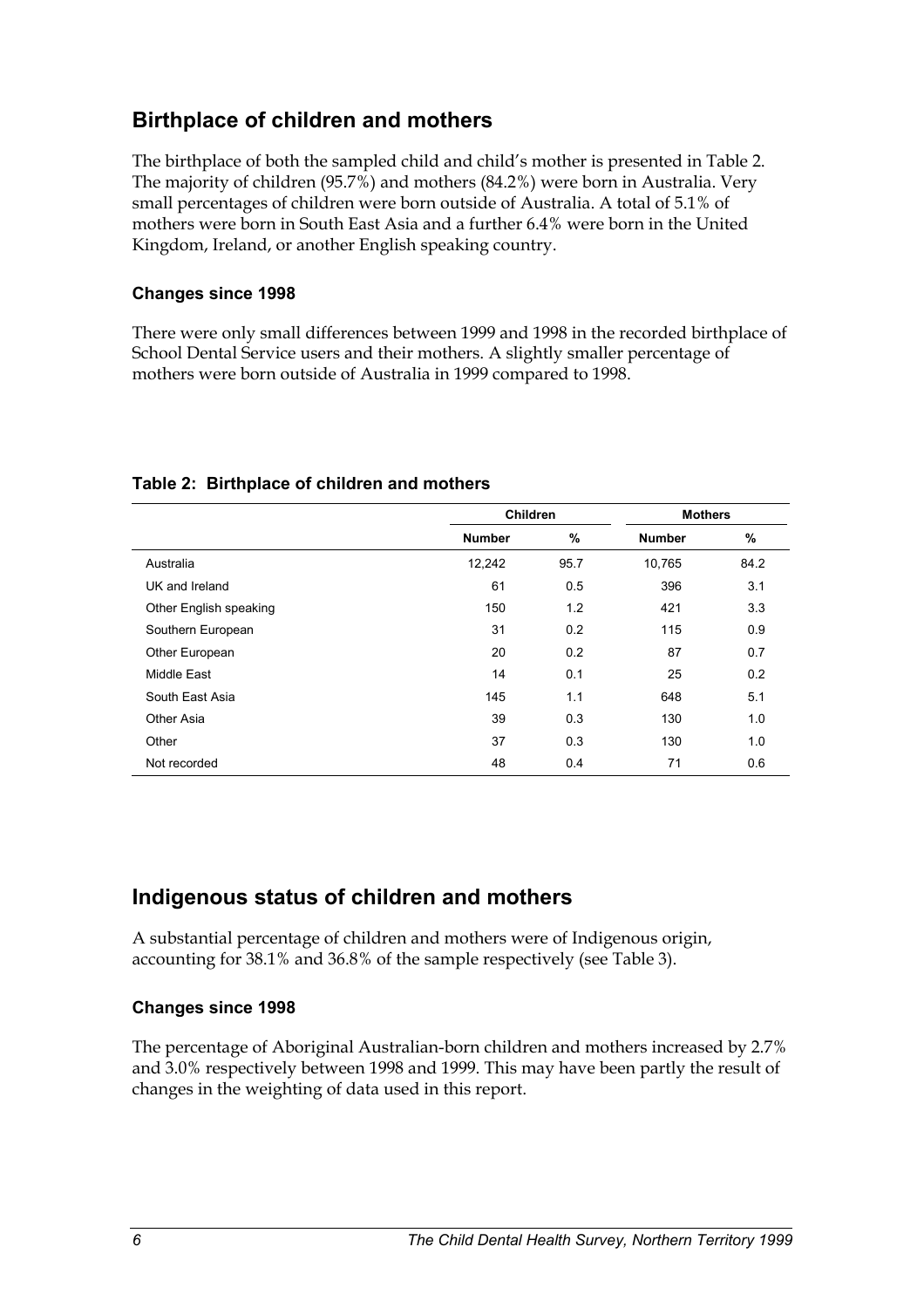## **Birthplace of children and mothers**

The birthplace of both the sampled child and child's mother is presented in Table 2. The majority of children (95.7%) and mothers (84.2%) were born in Australia. Very small percentages of children were born outside of Australia. A total of 5.1% of mothers were born in South East Asia and a further 6.4% were born in the United Kingdom, Ireland, or another English speaking country.

## **Changes since 1998**

There were only small differences between 1999 and 1998 in the recorded birthplace of School Dental Service users and their mothers. A slightly smaller percentage of mothers were born outside of Australia in 1999 compared to 1998.

|                        | <b>Children</b> |      | <b>Mothers</b> |      |  |
|------------------------|-----------------|------|----------------|------|--|
|                        | <b>Number</b>   | %    | <b>Number</b>  | %    |  |
| Australia              | 12,242          | 95.7 | 10,765         | 84.2 |  |
| UK and Ireland         | 61              | 0.5  | 396            | 3.1  |  |
| Other English speaking | 150             | 1.2  | 421            | 3.3  |  |
| Southern European      | 31              | 0.2  | 115            | 0.9  |  |
| Other European         | 20              | 0.2  | 87             | 0.7  |  |
| Middle East            | 14              | 0.1  | 25             | 0.2  |  |
| South East Asia        | 145             | 1.1  | 648            | 5.1  |  |
| Other Asia             | 39              | 0.3  | 130            | 1.0  |  |
| Other                  | 37              | 0.3  | 130            | 1.0  |  |
| Not recorded           | 48              | 0.4  | 71             | 0.6  |  |

#### **Table 2: Birthplace of children and mothers**

## **Indigenous status of children and mothers**

A substantial percentage of children and mothers were of Indigenous origin, accounting for 38.1% and 36.8% of the sample respectively (see Table 3).

### **Changes since 1998**

The percentage of Aboriginal Australian-born children and mothers increased by 2.7% and 3.0% respectively between 1998 and 1999. This may have been partly the result of changes in the weighting of data used in this report.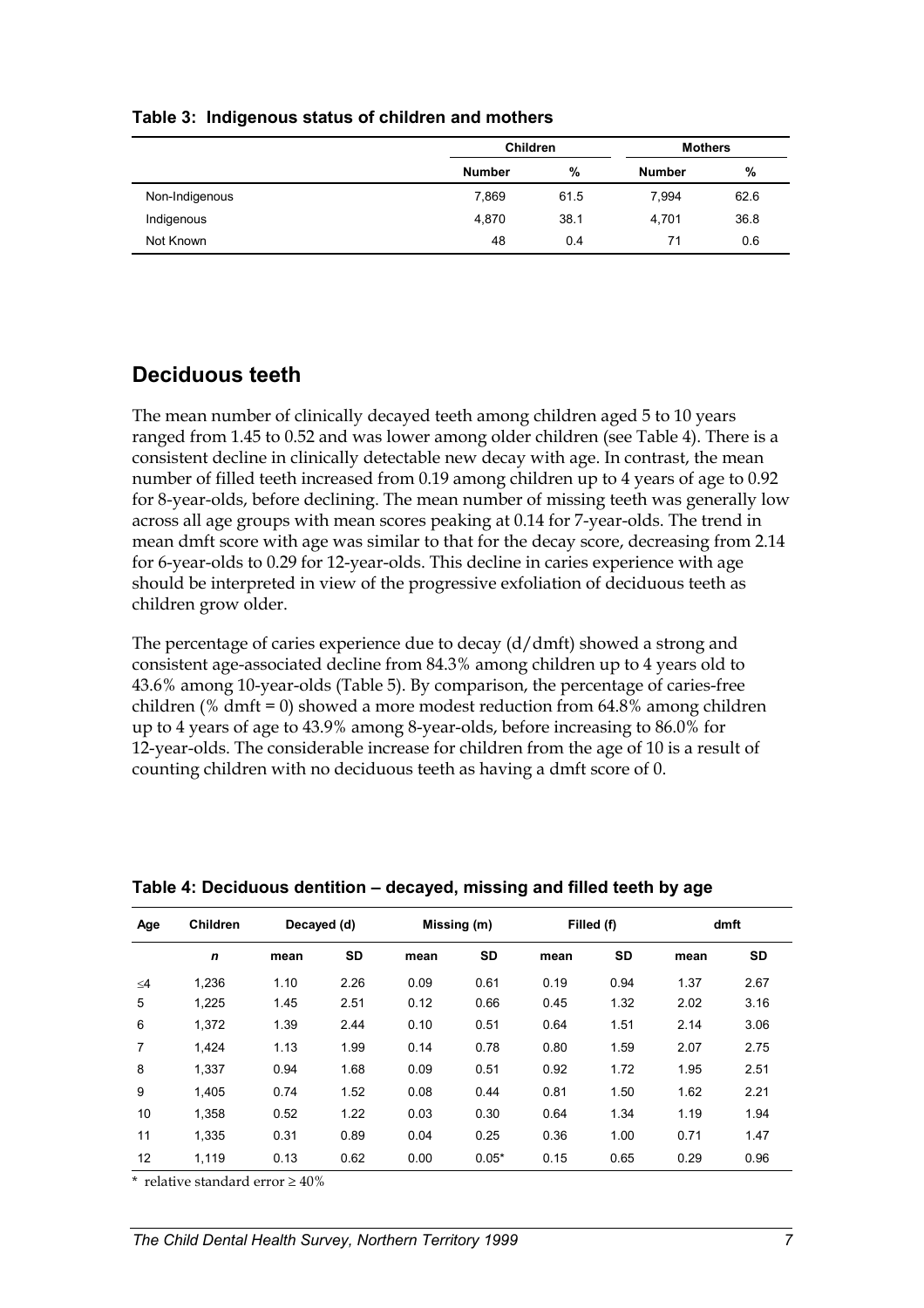|                | <b>Children</b> |      | <b>Mothers</b> |      |  |
|----------------|-----------------|------|----------------|------|--|
|                | <b>Number</b>   | %    | <b>Number</b>  | %    |  |
| Non-Indigenous | 7.869           | 61.5 | 7.994          | 62.6 |  |
| Indigenous     | 4,870           | 38.1 | 4,701          | 36.8 |  |
| Not Known      | 48              | 0.4  | 71             | 0.6  |  |

#### **Table 3: Indigenous status of children and mothers**

## **Deciduous teeth**

The mean number of clinically decayed teeth among children aged 5 to 10 years ranged from 1.45 to 0.52 and was lower among older children (see Table 4). There is a consistent decline in clinically detectable new decay with age. In contrast, the mean number of filled teeth increased from 0.19 among children up to 4 years of age to 0.92 for 8-year-olds, before declining. The mean number of missing teeth was generally low across all age groups with mean scores peaking at 0.14 for 7-year-olds. The trend in mean dmft score with age was similar to that for the decay score, decreasing from 2.14 for 6-year-olds to 0.29 for 12-year-olds. This decline in caries experience with age should be interpreted in view of the progressive exfoliation of deciduous teeth as children grow older.

The percentage of caries experience due to decay (d/dmft) showed a strong and consistent age-associated decline from 84.3% among children up to 4 years old to 43.6% among 10-year-olds (Table 5). By comparison, the percentage of caries-free children (% dmft = 0) showed a more modest reduction from 64.8% among children up to 4 years of age to 43.9% among 8-year-olds, before increasing to 86.0% for 12-year-olds. The considerable increase for children from the age of 10 is a result of counting children with no deciduous teeth as having a dmft score of 0.

| Age            | <b>Children</b> | Decayed (d) |      | Missing (m) |           |      | Filled (f) |      | dmft |  |
|----------------|-----------------|-------------|------|-------------|-----------|------|------------|------|------|--|
|                | $\mathbf n$     | mean        | SD   | mean        | <b>SD</b> | mean | <b>SD</b>  | mean | SD   |  |
| $\leq 4$       | 1,236           | 1.10        | 2.26 | 0.09        | 0.61      | 0.19 | 0.94       | 1.37 | 2.67 |  |
| 5              | 1.225           | 1.45        | 2.51 | 0.12        | 0.66      | 0.45 | 1.32       | 2.02 | 3.16 |  |
| 6              | 1.372           | 1.39        | 2.44 | 0.10        | 0.51      | 0.64 | 1.51       | 2.14 | 3.06 |  |
| $\overline{7}$ | 1.424           | 1.13        | 1.99 | 0.14        | 0.78      | 0.80 | 1.59       | 2.07 | 2.75 |  |
| 8              | 1.337           | 0.94        | 1.68 | 0.09        | 0.51      | 0.92 | 1.72       | 1.95 | 2.51 |  |
| 9              | 1.405           | 0.74        | 1.52 | 0.08        | 0.44      | 0.81 | 1.50       | 1.62 | 2.21 |  |
| 10             | 1.358           | 0.52        | 1.22 | 0.03        | 0.30      | 0.64 | 1.34       | 1.19 | 1.94 |  |
| 11             | 1.335           | 0.31        | 0.89 | 0.04        | 0.25      | 0.36 | 1.00       | 0.71 | 1.47 |  |
| 12             | 1.119           | 0.13        | 0.62 | 0.00        | $0.05*$   | 0.15 | 0.65       | 0.29 | 0.96 |  |

**Table 4: Deciduous dentition – decayed, missing and filled teeth by age** 

\* relative standard error  $\geq 40\%$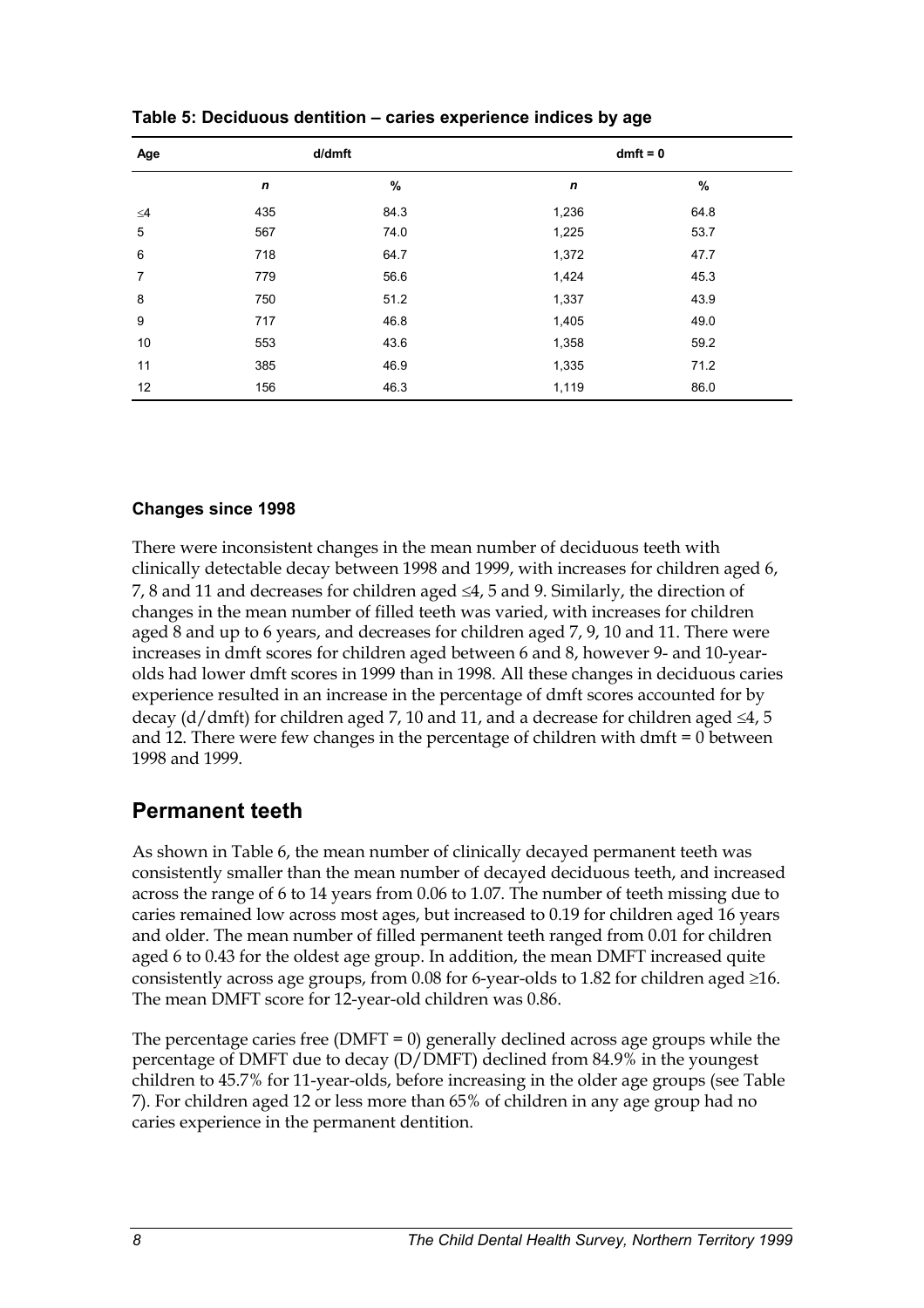| Age            |                  | d/dmft | $dmft = 0$   |      |  |
|----------------|------------------|--------|--------------|------|--|
|                | $\boldsymbol{n}$ | $\%$   | $\mathsf{n}$ | $\%$ |  |
| $\leq 4$       | 435              | 84.3   | 1,236        | 64.8 |  |
| 5              | 567              | 74.0   | 1,225        | 53.7 |  |
| 6              | 718              | 64.7   | 1,372        | 47.7 |  |
| $\overline{7}$ | 779              | 56.6   | 1,424        | 45.3 |  |
| 8              | 750              | 51.2   | 1,337        | 43.9 |  |
| 9              | 717              | 46.8   | 1,405        | 49.0 |  |
| 10             | 553              | 43.6   | 1,358        | 59.2 |  |
| 11             | 385              | 46.9   | 1,335        | 71.2 |  |
| 12             | 156              | 46.3   | 1,119        | 86.0 |  |

**Table 5: Deciduous dentition – caries experience indices by age** 

## **Changes since 1998**

There were inconsistent changes in the mean number of deciduous teeth with clinically detectable decay between 1998 and 1999, with increases for children aged 6, 7, 8 and 11 and decreases for children aged  $\leq 4$ , 5 and 9. Similarly, the direction of changes in the mean number of filled teeth was varied, with increases for children aged 8 and up to 6 years, and decreases for children aged 7, 9, 10 and 11. There were increases in dmft scores for children aged between 6 and 8, however 9- and 10-yearolds had lower dmft scores in 1999 than in 1998. All these changes in deciduous caries experience resulted in an increase in the percentage of dmft scores accounted for by decay (d/dmft) for children aged 7, 10 and 11, and a decrease for children aged  $\leq 4$ , 5 and 12. There were few changes in the percentage of children with dmft = 0 between 1998 and 1999.

## **Permanent teeth**

As shown in Table 6, the mean number of clinically decayed permanent teeth was consistently smaller than the mean number of decayed deciduous teeth, and increased across the range of 6 to 14 years from 0.06 to 1.07. The number of teeth missing due to caries remained low across most ages, but increased to 0.19 for children aged 16 years and older. The mean number of filled permanent teeth ranged from 0.01 for children aged 6 to 0.43 for the oldest age group. In addition, the mean DMFT increased quite consistently across age groups, from  $0.08$  for 6-year-olds to 1.82 for children aged  $\geq$ 16. The mean DMFT score for 12-year-old children was 0.86.

The percentage caries free ( $DMFT = 0$ ) generally declined across age groups while the percentage of DMFT due to decay (D/DMFT) declined from 84.9% in the youngest children to 45.7% for 11-year-olds, before increasing in the older age groups (see Table 7). For children aged 12 or less more than 65% of children in any age group had no caries experience in the permanent dentition.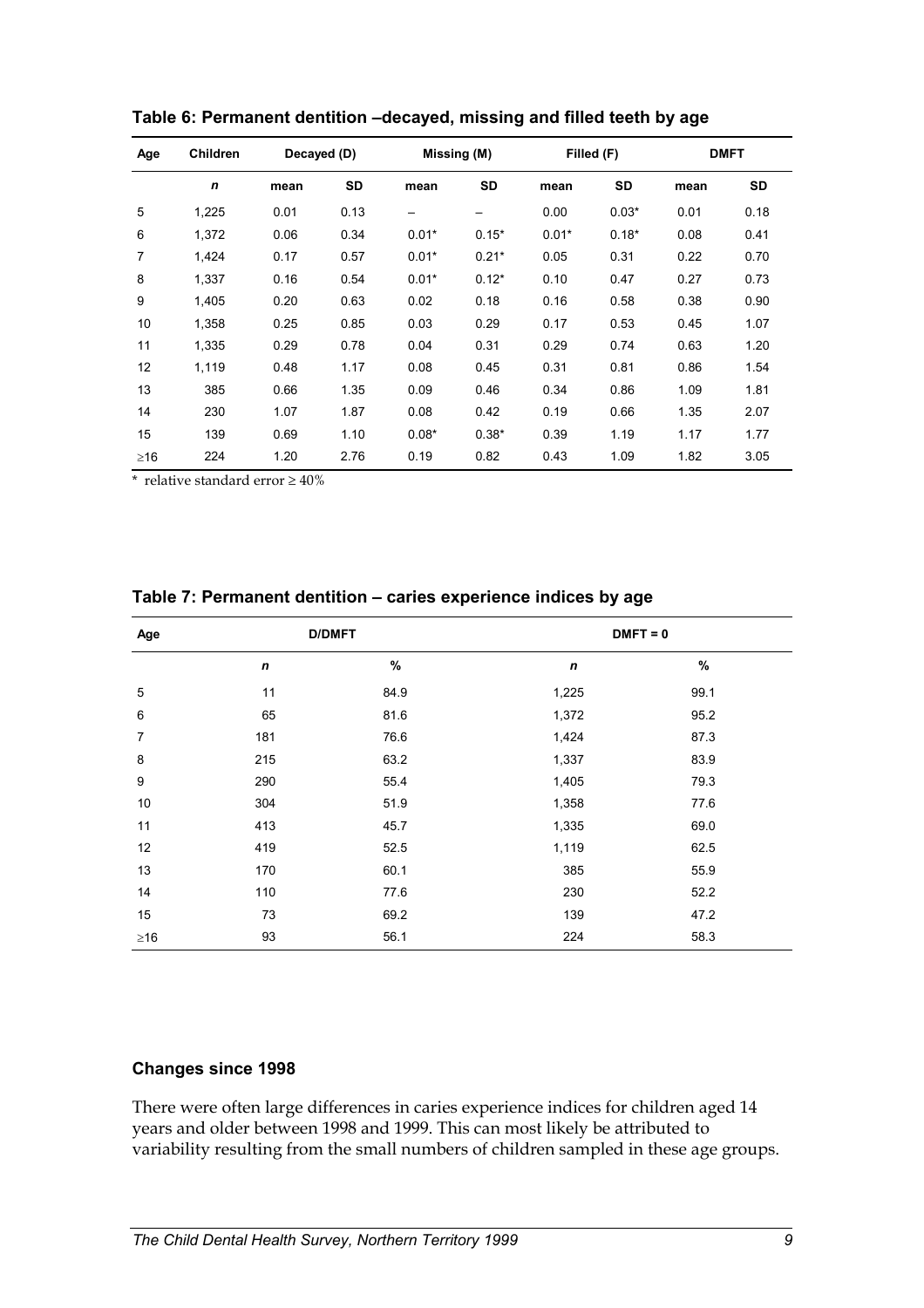| Age       | Children    | Decayed (D) |           | Missing (M) |           |         | Filled (F) | <b>DMFT</b> |      |  |
|-----------|-------------|-------------|-----------|-------------|-----------|---------|------------|-------------|------|--|
|           | $\mathbf n$ | mean        | <b>SD</b> | mean        | <b>SD</b> | mean    | <b>SD</b>  | mean        | SD   |  |
| 5         | 1,225       | 0.01        | 0.13      |             |           | 0.00    | $0.03*$    | 0.01        | 0.18 |  |
| 6         | 1,372       | 0.06        | 0.34      | $0.01*$     | $0.15*$   | $0.01*$ | $0.18*$    | 0.08        | 0.41 |  |
| 7         | 1,424       | 0.17        | 0.57      | $0.01*$     | $0.21*$   | 0.05    | 0.31       | 0.22        | 0.70 |  |
| 8         | 1.337       | 0.16        | 0.54      | $0.01*$     | $0.12*$   | 0.10    | 0.47       | 0.27        | 0.73 |  |
| 9         | 1,405       | 0.20        | 0.63      | 0.02        | 0.18      | 0.16    | 0.58       | 0.38        | 0.90 |  |
| 10        | 1,358       | 0.25        | 0.85      | 0.03        | 0.29      | 0.17    | 0.53       | 0.45        | 1.07 |  |
| 11        | 1.335       | 0.29        | 0.78      | 0.04        | 0.31      | 0.29    | 0.74       | 0.63        | 1.20 |  |
| 12        | 1,119       | 0.48        | 1.17      | 0.08        | 0.45      | 0.31    | 0.81       | 0.86        | 1.54 |  |
| 13        | 385         | 0.66        | 1.35      | 0.09        | 0.46      | 0.34    | 0.86       | 1.09        | 1.81 |  |
| 14        | 230         | 1.07        | 1.87      | 0.08        | 0.42      | 0.19    | 0.66       | 1.35        | 2.07 |  |
| 15        | 139         | 0.69        | 1.10      | $0.08*$     | $0.38*$   | 0.39    | 1.19       | 1.17        | 1.77 |  |
| $\geq$ 16 | 224         | 1.20        | 2.76      | 0.19        | 0.82      | 0.43    | 1.09       | 1.82        | 3.05 |  |

**Table 6: Permanent dentition –decayed, missing and filled teeth by age** 

\* relative standard error  $\geq 40\%$ 

| Age            |                  | <b>D/DMFT</b> | $DMFT = 0$  |      |  |  |  |  |
|----------------|------------------|---------------|-------------|------|--|--|--|--|
|                | $\boldsymbol{n}$ | %             | $\mathbf n$ | $\%$ |  |  |  |  |
| 5              | 11               | 84.9          | 1,225       | 99.1 |  |  |  |  |
| 6              | 65               | 81.6          | 1,372       | 95.2 |  |  |  |  |
| $\overline{7}$ | 181              | 76.6          | 1,424       | 87.3 |  |  |  |  |
| 8              | 215              | 63.2          | 1,337       | 83.9 |  |  |  |  |
| 9              | 290              | 55.4          | 1,405       | 79.3 |  |  |  |  |
| $10$           | 304              | 51.9          | 1,358       | 77.6 |  |  |  |  |
| 11             | 413              | 45.7          | 1,335       | 69.0 |  |  |  |  |
| 12             | 419              | 52.5          | 1,119       | 62.5 |  |  |  |  |
| 13             | 170              | 60.1          | 385         | 55.9 |  |  |  |  |
| 14             | 110              | 77.6          | 230         | 52.2 |  |  |  |  |
| 15             | 73               | 69.2          | 139         | 47.2 |  |  |  |  |
| $\geq$ 16      | 93               | 56.1          | 224         | 58.3 |  |  |  |  |

**Table 7: Permanent dentition – caries experience indices by age** 

## **Changes since 1998**

There were often large differences in caries experience indices for children aged 14 years and older between 1998 and 1999. This can most likely be attributed to variability resulting from the small numbers of children sampled in these age groups.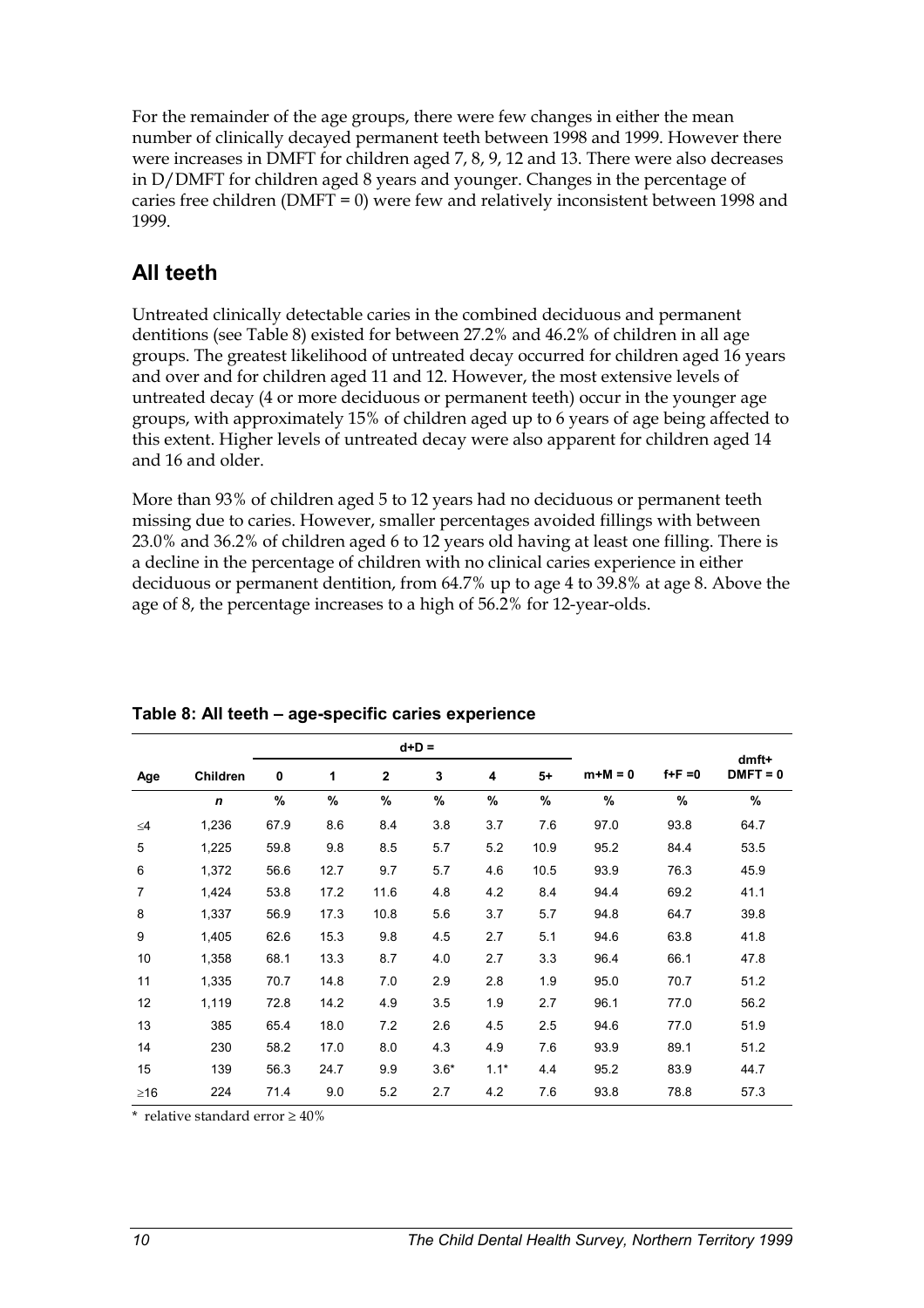For the remainder of the age groups, there were few changes in either the mean number of clinically decayed permanent teeth between 1998 and 1999. However there were increases in DMFT for children aged 7, 8, 9, 12 and 13. There were also decreases in D/DMFT for children aged 8 years and younger. Changes in the percentage of caries free children (DMFT = 0) were few and relatively inconsistent between 1998 and 1999.

# **All teeth**

Untreated clinically detectable caries in the combined deciduous and permanent dentitions (see Table 8) existed for between 27.2% and 46.2% of children in all age groups. The greatest likelihood of untreated decay occurred for children aged 16 years and over and for children aged 11 and 12. However, the most extensive levels of untreated decay (4 or more deciduous or permanent teeth) occur in the younger age groups, with approximately 15% of children aged up to 6 years of age being affected to this extent. Higher levels of untreated decay were also apparent for children aged 14 and 16 and older.

More than 93% of children aged 5 to 12 years had no deciduous or permanent teeth missing due to caries. However, smaller percentages avoided fillings with between 23.0% and 36.2% of children aged 6 to 12 years old having at least one filling. There is a decline in the percentage of children with no clinical caries experience in either deciduous or permanent dentition, from 64.7% up to age 4 to 39.8% at age 8. Above the age of 8, the percentage increases to a high of 56.2% for 12-year-olds.

|           |                 |      |      |              | $d+D =$ |        |      |           | $dmft+$     |            |
|-----------|-----------------|------|------|--------------|---------|--------|------|-----------|-------------|------------|
| Age       | <b>Children</b> | 0    | 1    | $\mathbf{2}$ | 3       | 4      | $5+$ | $m+M = 0$ | $f + F = 0$ | $DMFT = 0$ |
|           | $\mathbf n$     | %    | %    | %            | %       | %      | %    | $\%$      | $\%$        | %          |
| $\leq 4$  | 1,236           | 67.9 | 8.6  | 8.4          | 3.8     | 3.7    | 7.6  | 97.0      | 93.8        | 64.7       |
| 5         | 1,225           | 59.8 | 9.8  | 8.5          | 5.7     | 5.2    | 10.9 | 95.2      | 84.4        | 53.5       |
| 6         | 1,372           | 56.6 | 12.7 | 9.7          | 5.7     | 4.6    | 10.5 | 93.9      | 76.3        | 45.9       |
| 7         | 1,424           | 53.8 | 17.2 | 11.6         | 4.8     | 4.2    | 8.4  | 94.4      | 69.2        | 41.1       |
| 8         | 1,337           | 56.9 | 17.3 | 10.8         | 5.6     | 3.7    | 5.7  | 94.8      | 64.7        | 39.8       |
| 9         | 1,405           | 62.6 | 15.3 | 9.8          | 4.5     | 2.7    | 5.1  | 94.6      | 63.8        | 41.8       |
| 10        | 1,358           | 68.1 | 13.3 | 8.7          | 4.0     | 2.7    | 3.3  | 96.4      | 66.1        | 47.8       |
| 11        | 1,335           | 70.7 | 14.8 | 7.0          | 2.9     | 2.8    | 1.9  | 95.0      | 70.7        | 51.2       |
| 12        | 1,119           | 72.8 | 14.2 | 4.9          | 3.5     | 1.9    | 2.7  | 96.1      | 77.0        | 56.2       |
| 13        | 385             | 65.4 | 18.0 | 7.2          | 2.6     | 4.5    | 2.5  | 94.6      | 77.0        | 51.9       |
| 14        | 230             | 58.2 | 17.0 | 8.0          | 4.3     | 4.9    | 7.6  | 93.9      | 89.1        | 51.2       |
| 15        | 139             | 56.3 | 24.7 | 9.9          | $3.6*$  | $1.1*$ | 4.4  | 95.2      | 83.9        | 44.7       |
| $\geq$ 16 | 224             | 71.4 | 9.0  | 5.2          | 2.7     | 4.2    | 7.6  | 93.8      | 78.8        | 57.3       |

## **Table 8: All teeth – age-specific caries experience**

\* relative standard error  $\geq 40\%$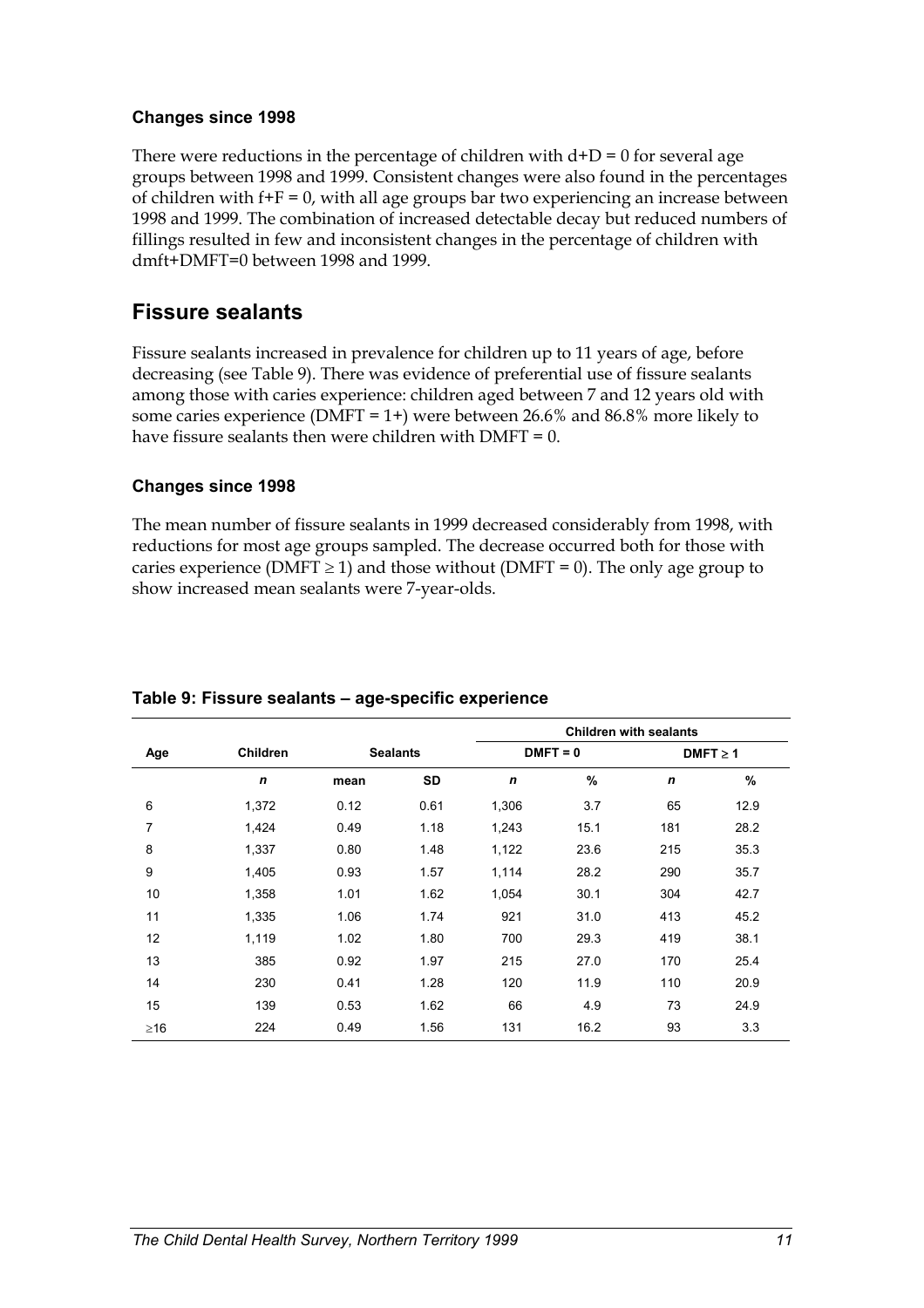#### **Changes since 1998**

There were reductions in the percentage of children with  $d+D = 0$  for several age groups between 1998 and 1999. Consistent changes were also found in the percentages of children with  $f+F = 0$ , with all age groups bar two experiencing an increase between 1998 and 1999. The combination of increased detectable decay but reduced numbers of fillings resulted in few and inconsistent changes in the percentage of children with dmft+DMFT=0 between 1998 and 1999.

## **Fissure sealants**

Fissure sealants increased in prevalence for children up to 11 years of age, before decreasing (see Table 9). There was evidence of preferential use of fissure sealants among those with caries experience: children aged between 7 and 12 years old with some caries experience (DMFT = 1+) were between 26.6% and 86.8% more likely to have fissure sealants then were children with  $DMFT = 0$ .

### **Changes since 1998**

The mean number of fissure sealants in 1999 decreased considerably from 1998, with reductions for most age groups sampled. The decrease occurred both for those with caries experience (DMFT  $\geq$  1) and those without (DMFT = 0). The only age group to show increased mean sealants were 7-year-olds.

|                |                 |      |                 | <b>Children with sealants</b> |            |             |               |  |  |
|----------------|-----------------|------|-----------------|-------------------------------|------------|-------------|---------------|--|--|
| Age            | <b>Children</b> |      | <b>Sealants</b> |                               | $DMFT = 0$ |             | $DMFT \geq 1$ |  |  |
|                | $\mathbf n$     | mean | SD              | $\mathbf n$                   | $\%$       | $\mathbf n$ | %             |  |  |
| 6              | 1,372           | 0.12 | 0.61            | 1,306                         | 3.7        | 65          | 12.9          |  |  |
| $\overline{7}$ | 1,424           | 0.49 | 1.18            | 1,243                         | 15.1       | 181         | 28.2          |  |  |
| 8              | 1,337           | 0.80 | 1.48            | 1,122                         | 23.6       | 215         | 35.3          |  |  |
| 9              | 1,405           | 0.93 | 1.57            | 1,114                         | 28.2       | 290         | 35.7          |  |  |
| 10             | 1,358           | 1.01 | 1.62            | 1,054                         | 30.1       | 304         | 42.7          |  |  |
| 11             | 1,335           | 1.06 | 1.74            | 921                           | 31.0       | 413         | 45.2          |  |  |
| 12             | 1,119           | 1.02 | 1.80            | 700                           | 29.3       | 419         | 38.1          |  |  |
| 13             | 385             | 0.92 | 1.97            | 215                           | 27.0       | 170         | 25.4          |  |  |
| 14             | 230             | 0.41 | 1.28            | 120                           | 11.9       | 110         | 20.9          |  |  |
| 15             | 139             | 0.53 | 1.62            | 66                            | 4.9        | 73          | 24.9          |  |  |
| $\geq$ 16      | 224             | 0.49 | 1.56            | 131                           | 16.2       | 93          | 3.3           |  |  |

### **Table 9: Fissure sealants – age-specific experience**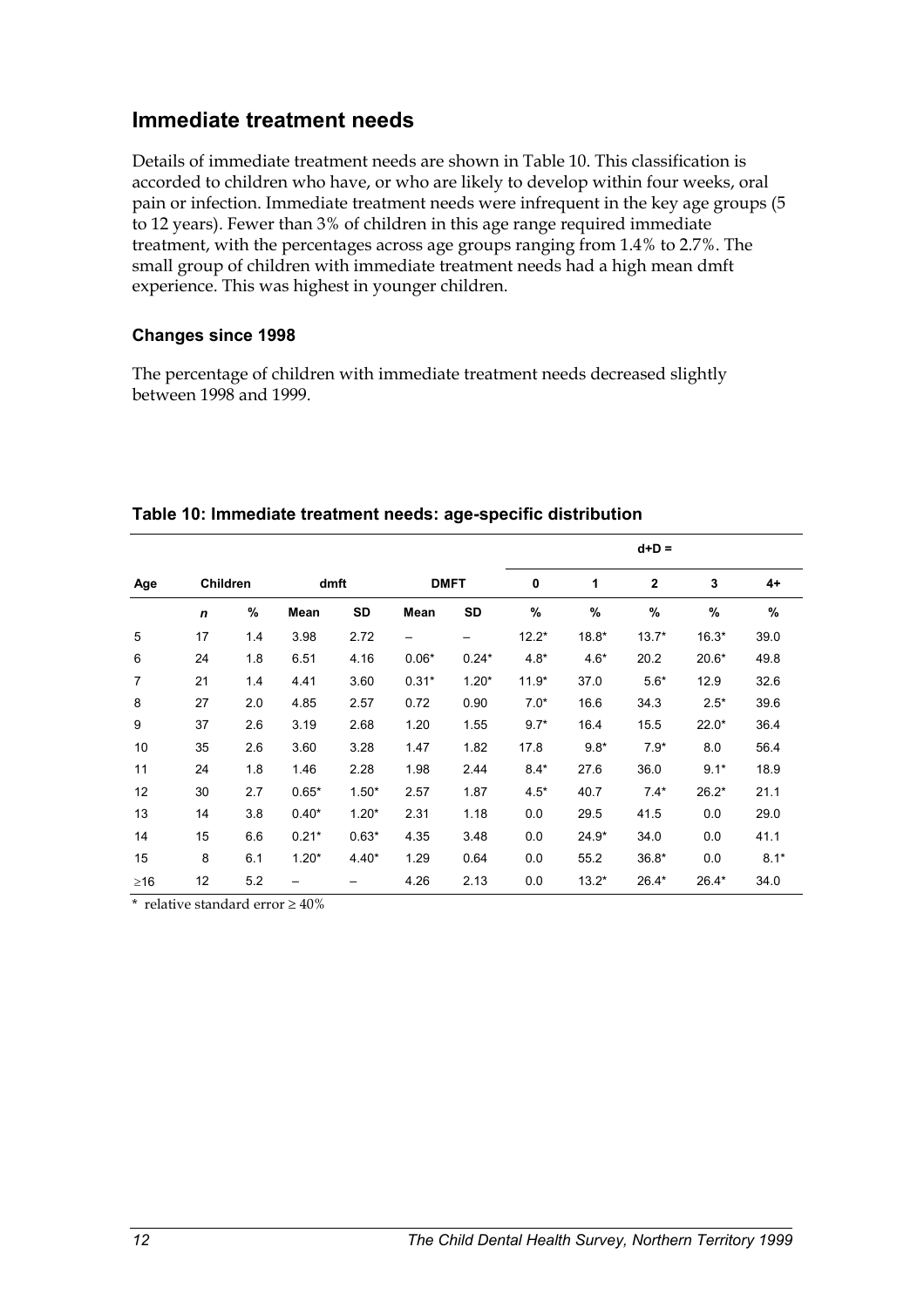## **Immediate treatment needs**

Details of immediate treatment needs are shown in Table 10. This classification is accorded to children who have, or who are likely to develop within four weeks, oral pain or infection. Immediate treatment needs were infrequent in the key age groups (5 to 12 years). Fewer than 3% of children in this age range required immediate treatment, with the percentages across age groups ranging from 1.4% to 2.7%. The small group of children with immediate treatment needs had a high mean dmft experience. This was highest in younger children.

#### **Changes since 1998**

The percentage of children with immediate treatment needs decreased slightly between 1998 and 1999.

|                |                 |     |         |           |             |           | $d+D =$     |         |             |         |        |  |  |
|----------------|-----------------|-----|---------|-----------|-------------|-----------|-------------|---------|-------------|---------|--------|--|--|
| Age            | <b>Children</b> |     | dmft    |           | <b>DMFT</b> |           | $\mathbf 0$ | 1       | $\mathbf 2$ | 3       | $4+$   |  |  |
|                | n               | %   | Mean    | <b>SD</b> | Mean        | <b>SD</b> | %           | $\%$    | %           | %       | $\%$   |  |  |
| 5              | 17              | 1.4 | 3.98    | 2.72      | —           | —         | $12.2*$     | $18.8*$ | $13.7*$     | $16.3*$ | 39.0   |  |  |
| 6              | 24              | 1.8 | 6.51    | 4.16      | $0.06*$     | $0.24*$   | $4.8*$      | $4.6*$  | 20.2        | $20.6*$ | 49.8   |  |  |
| $\overline{7}$ | 21              | 1.4 | 4.41    | 3.60      | $0.31*$     | $1.20*$   | $11.9*$     | 37.0    | $5.6*$      | 12.9    | 32.6   |  |  |
| 8              | 27              | 2.0 | 4.85    | 2.57      | 0.72        | 0.90      | $7.0*$      | 16.6    | 34.3        | $2.5*$  | 39.6   |  |  |
| 9              | 37              | 2.6 | 3.19    | 2.68      | 1.20        | 1.55      | $9.7*$      | 16.4    | 15.5        | $22.0*$ | 36.4   |  |  |
| 10             | 35              | 2.6 | 3.60    | 3.28      | 1.47        | 1.82      | 17.8        | $9.8*$  | $7.9*$      | 8.0     | 56.4   |  |  |
| 11             | 24              | 1.8 | 1.46    | 2.28      | 1.98        | 2.44      | $8.4*$      | 27.6    | 36.0        | $9.1*$  | 18.9   |  |  |
| 12             | 30              | 2.7 | $0.65*$ | $1.50*$   | 2.57        | 1.87      | $4.5*$      | 40.7    | $7.4*$      | $26.2*$ | 21.1   |  |  |
| 13             | 14              | 3.8 | $0.40*$ | $1.20*$   | 2.31        | 1.18      | 0.0         | 29.5    | 41.5        | 0.0     | 29.0   |  |  |
| 14             | 15              | 6.6 | $0.21*$ | $0.63*$   | 4.35        | 3.48      | 0.0         | 24.9*   | 34.0        | 0.0     | 41.1   |  |  |
| 15             | 8               | 6.1 | $1.20*$ | $4.40*$   | 1.29        | 0.64      | 0.0         | 55.2    | $36.8*$     | 0.0     | $8.1*$ |  |  |
| $\geq$ 16      | 12              | 5.2 |         |           | 4.26        | 2.13      | 0.0         | $13.2*$ | $26.4*$     | $26.4*$ | 34.0   |  |  |

#### **Table 10: Immediate treatment needs: age-specific distribution**

\* relative standard error  $\geq 40\%$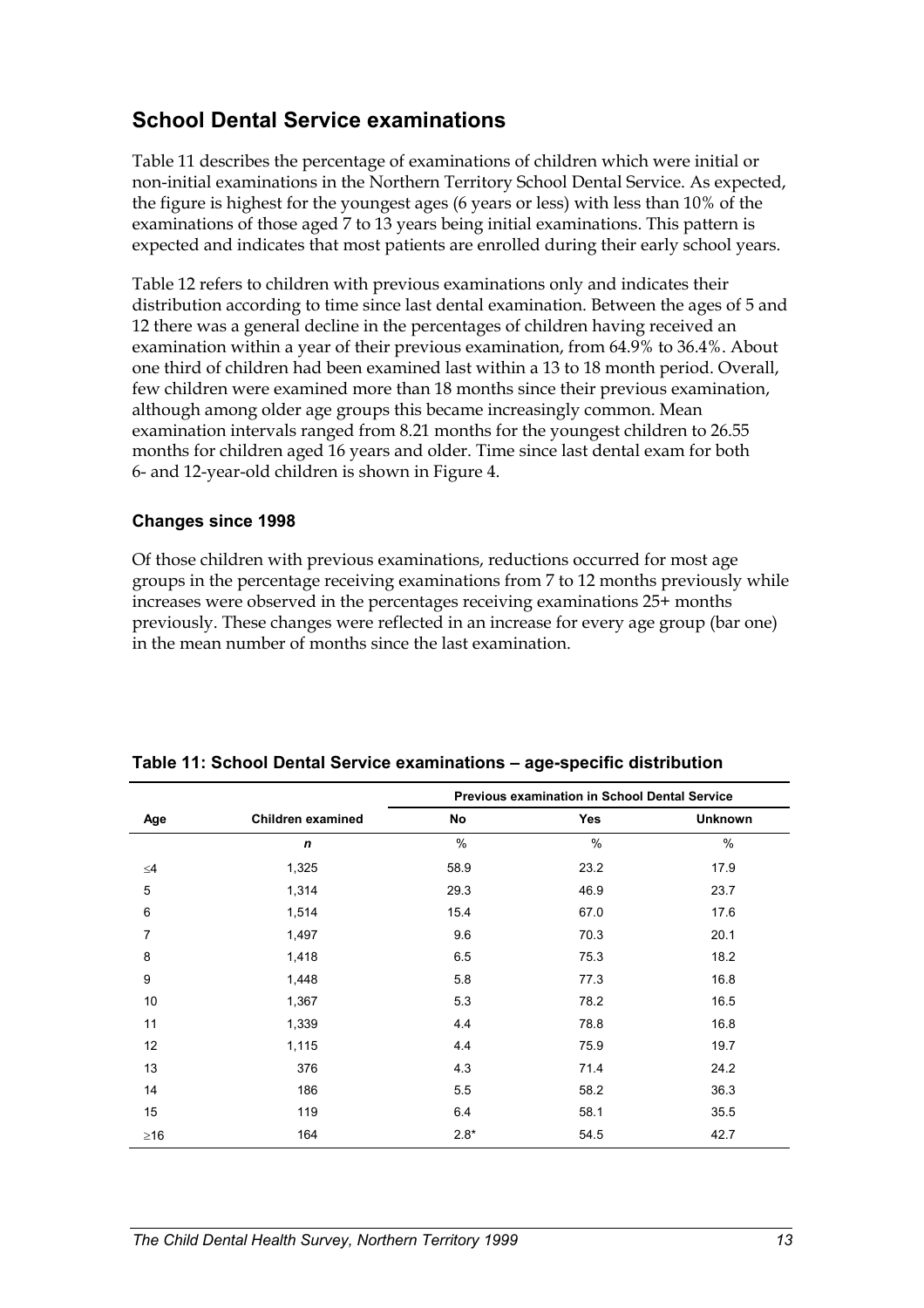# **School Dental Service examinations**

Table 11 describes the percentage of examinations of children which were initial or non-initial examinations in the Northern Territory School Dental Service. As expected, the figure is highest for the youngest ages (6 years or less) with less than 10% of the examinations of those aged 7 to 13 years being initial examinations. This pattern is expected and indicates that most patients are enrolled during their early school years.

Table 12 refers to children with previous examinations only and indicates their distribution according to time since last dental examination. Between the ages of 5 and 12 there was a general decline in the percentages of children having received an examination within a year of their previous examination, from 64.9% to 36.4%. About one third of children had been examined last within a 13 to 18 month period. Overall, few children were examined more than 18 months since their previous examination, although among older age groups this became increasingly common. Mean examination intervals ranged from 8.21 months for the youngest children to 26.55 months for children aged 16 years and older. Time since last dental exam for both 6- and 12-year-old children is shown in Figure 4.

### **Changes since 1998**

Of those children with previous examinations, reductions occurred for most age groups in the percentage receiving examinations from 7 to 12 months previously while increases were observed in the percentages receiving examinations 25+ months previously. These changes were reflected in an increase for every age group (bar one) in the mean number of months since the last examination.

|                |                   | <b>Previous examination in School Dental Service</b> |      |                |  |  |  |  |
|----------------|-------------------|------------------------------------------------------|------|----------------|--|--|--|--|
| Age            | Children examined | No                                                   | Yes  | <b>Unknown</b> |  |  |  |  |
|                | n                 | $\%$                                                 | $\%$ | $\%$           |  |  |  |  |
| $\leq 4$       | 1,325             | 58.9                                                 | 23.2 | 17.9           |  |  |  |  |
| 5              | 1,314             | 29.3                                                 | 46.9 | 23.7           |  |  |  |  |
| 6              | 1,514             | 15.4                                                 | 67.0 | 17.6           |  |  |  |  |
| $\overline{7}$ | 1,497             | 9.6                                                  | 70.3 | 20.1           |  |  |  |  |
| 8              | 1,418             | 6.5                                                  | 75.3 | 18.2           |  |  |  |  |
| 9              | 1,448             | 5.8                                                  | 77.3 | 16.8           |  |  |  |  |
| 10             | 1,367             | 5.3                                                  | 78.2 | 16.5           |  |  |  |  |
| 11             | 1,339             | 4.4                                                  | 78.8 | 16.8           |  |  |  |  |
| 12             | 1,115             | 4.4                                                  | 75.9 | 19.7           |  |  |  |  |
| 13             | 376               | 4.3                                                  | 71.4 | 24.2           |  |  |  |  |
| 14             | 186               | 5.5                                                  | 58.2 | 36.3           |  |  |  |  |
| 15             | 119               | 6.4                                                  | 58.1 | 35.5           |  |  |  |  |
| $\geq$ 16      | 164               | $2.8*$                                               | 54.5 | 42.7           |  |  |  |  |

#### **Table 11: School Dental Service examinations – age-specific distribution**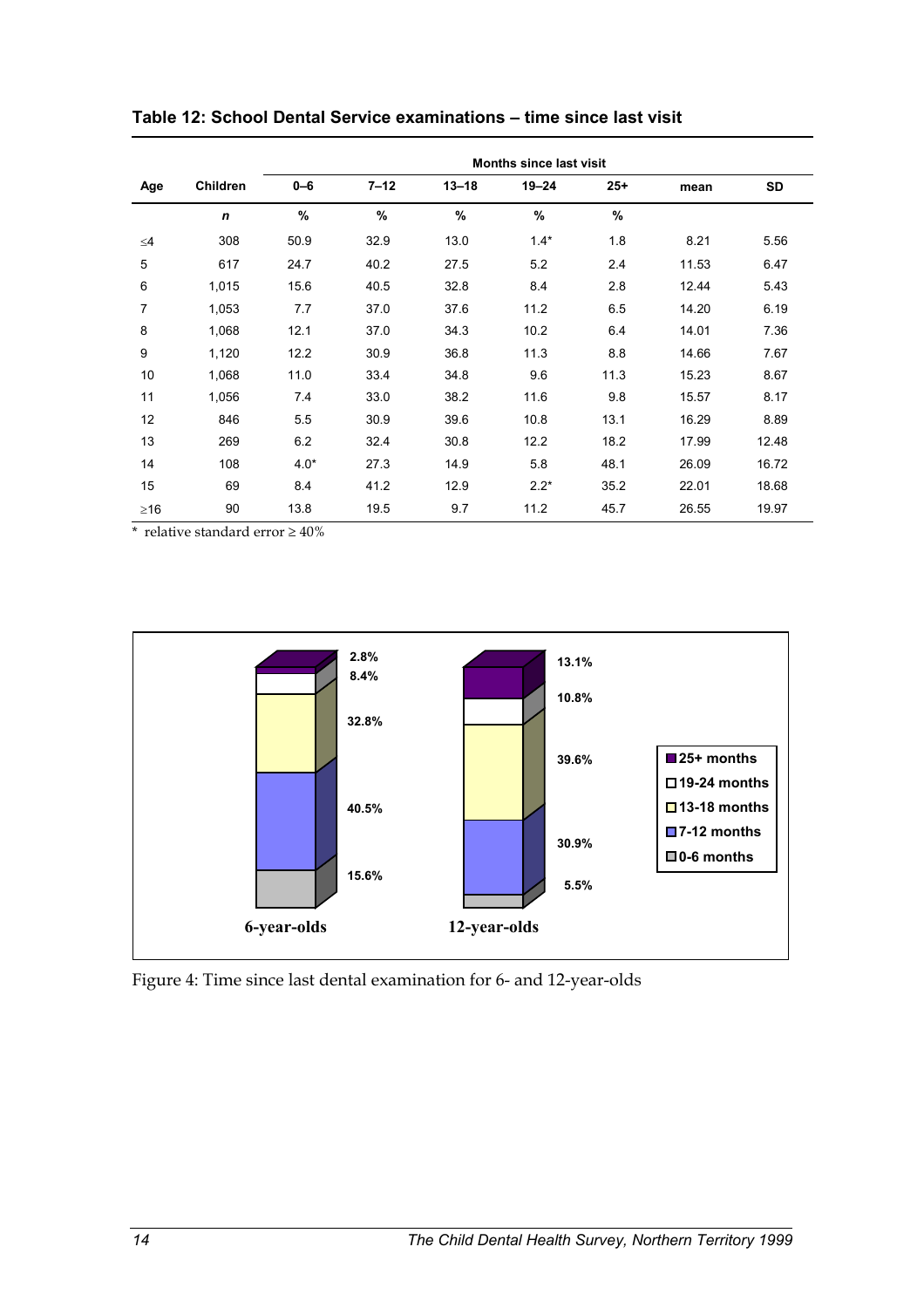|           |                 | Months since last visit |               |           |               |       |       |           |  |  |  |  |
|-----------|-----------------|-------------------------|---------------|-----------|---------------|-------|-------|-----------|--|--|--|--|
| Age       | <b>Children</b> | $0 - 6$                 | $7 - 12$      | $13 - 18$ | $19 - 24$     | $25+$ | mean  | <b>SD</b> |  |  |  |  |
|           | $\mathbf n$     | $\%$                    | $\frac{9}{6}$ | $\%$      | $\frac{9}{6}$ | $\%$  |       |           |  |  |  |  |
| $\leq 4$  | 308             | 50.9                    | 32.9          | 13.0      | $1.4*$        | 1.8   | 8.21  | 5.56      |  |  |  |  |
| 5         | 617             | 24.7                    | 40.2          | 27.5      | 5.2           | 2.4   | 11.53 | 6.47      |  |  |  |  |
| 6         | 1,015           | 15.6                    | 40.5          | 32.8      | 8.4           | 2.8   | 12.44 | 5.43      |  |  |  |  |
| 7         | 1,053           | 7.7                     | 37.0          | 37.6      | 11.2          | 6.5   | 14.20 | 6.19      |  |  |  |  |
| 8         | 1,068           | 12.1                    | 37.0          | 34.3      | 10.2          | 6.4   | 14.01 | 7.36      |  |  |  |  |
| 9         | 1,120           | 12.2                    | 30.9          | 36.8      | 11.3          | 8.8   | 14.66 | 7.67      |  |  |  |  |
| 10        | 1,068           | 11.0                    | 33.4          | 34.8      | 9.6           | 11.3  | 15.23 | 8.67      |  |  |  |  |
| 11        | 1,056           | 7.4                     | 33.0          | 38.2      | 11.6          | 9.8   | 15.57 | 8.17      |  |  |  |  |
| 12        | 846             | 5.5                     | 30.9          | 39.6      | 10.8          | 13.1  | 16.29 | 8.89      |  |  |  |  |
| 13        | 269             | 6.2                     | 32.4          | 30.8      | 12.2          | 18.2  | 17.99 | 12.48     |  |  |  |  |
| 14        | 108             | $4.0*$                  | 27.3          | 14.9      | 5.8           | 48.1  | 26.09 | 16.72     |  |  |  |  |
| 15        | 69              | 8.4                     | 41.2          | 12.9      | $2.2*$        | 35.2  | 22.01 | 18.68     |  |  |  |  |
| $\geq$ 16 | 90              | 13.8                    | 19.5          | 9.7       | 11.2          | 45.7  | 26.55 | 19.97     |  |  |  |  |

**Table 12: School Dental Service examinations – time since last visit** 

 $^{\star}\,$  relative standard error  $\geq 40\%$ 



Figure 4: Time since last dental examination for 6- and 12-year-olds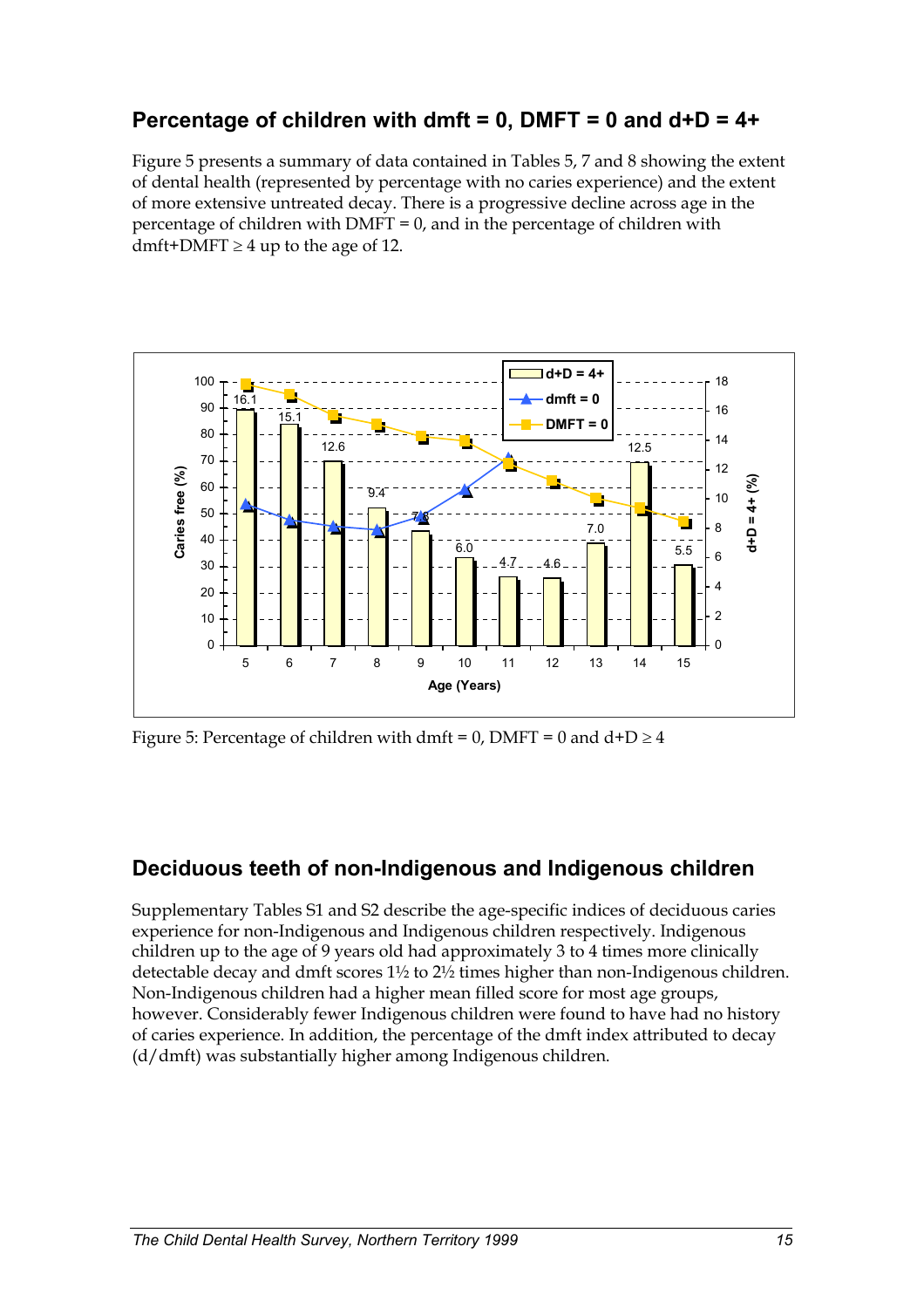## **Percentage of children with dmft = 0, DMFT = 0 and d+D = 4+**

Figure 5 presents a summary of data contained in Tables 5, 7 and 8 showing the extent of dental health (represented by percentage with no caries experience) and the extent of more extensive untreated decay. There is a progressive decline across age in the percentage of children with  $DMFT = 0$ , and in the percentage of children with dmft+DMFT  $\geq$  4 up to the age of 12.



Figure 5: Percentage of children with dmft =  $0$ , DMFT =  $0$  and  $d+D \ge 4$ 

## **Deciduous teeth of non-Indigenous and Indigenous children**

Supplementary Tables S1 and S2 describe the age-specific indices of deciduous caries experience for non-Indigenous and Indigenous children respectively. Indigenous children up to the age of 9 years old had approximately 3 to 4 times more clinically detectable decay and dmft scores  $1\frac{1}{2}$  to  $2\frac{1}{2}$  times higher than non-Indigenous children. Non-Indigenous children had a higher mean filled score for most age groups, however. Considerably fewer Indigenous children were found to have had no history of caries experience. In addition, the percentage of the dmft index attributed to decay (d/dmft) was substantially higher among Indigenous children.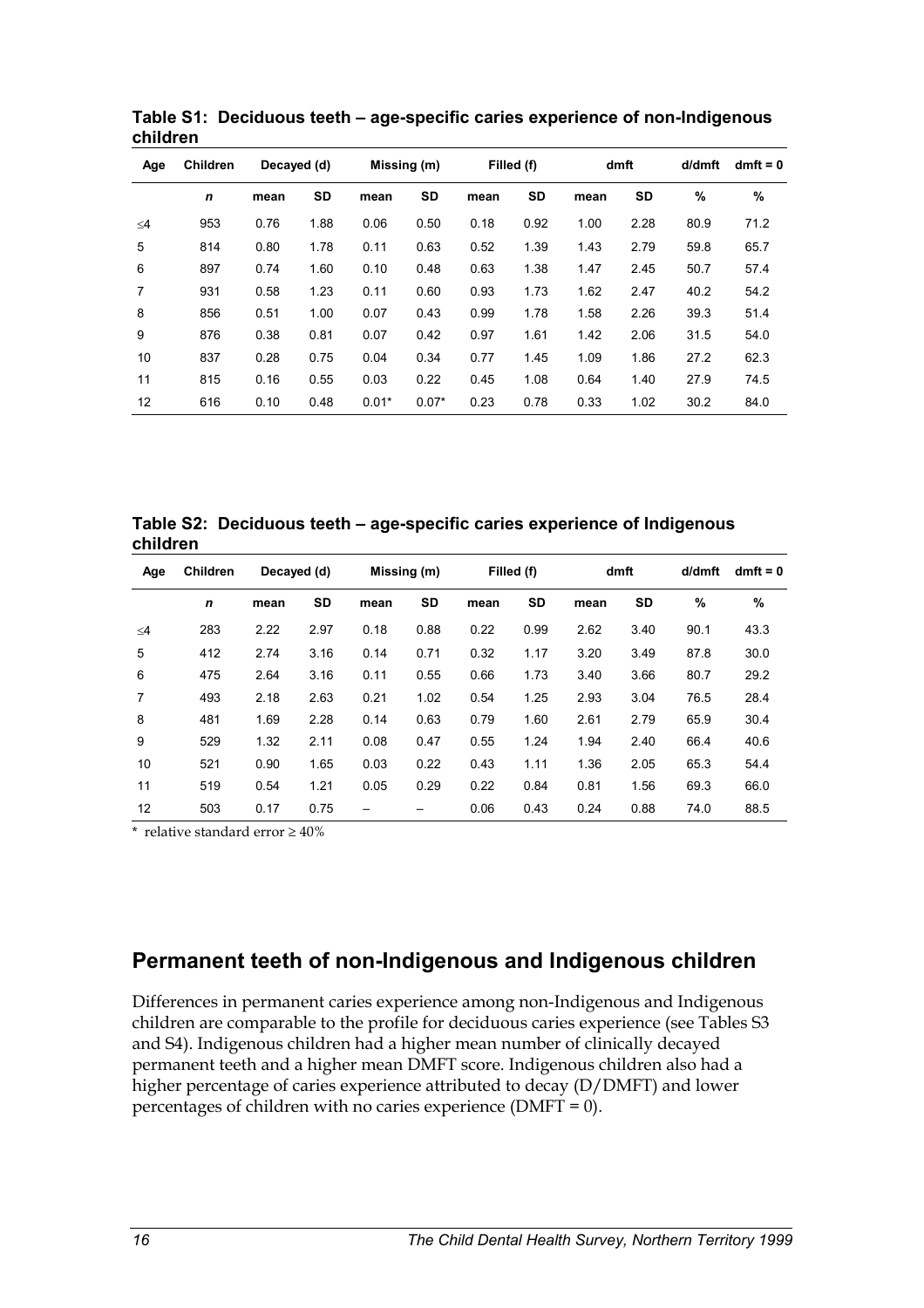| Age      | <b>Children</b> | Decayed (d) |           | Missing (m) |           | Filled (f) |           | dmft |      | d/dmft | $dmft = 0$ |
|----------|-----------------|-------------|-----------|-------------|-----------|------------|-----------|------|------|--------|------------|
|          | n               | mean        | <b>SD</b> | mean        | <b>SD</b> | mean       | <b>SD</b> | mean | SD   | %      | %          |
| $\leq 4$ | 953             | 0.76        | 1.88      | 0.06        | 0.50      | 0.18       | 0.92      | 1.00 | 2.28 | 80.9   | 71.2       |
| 5        | 814             | 0.80        | 1.78      | 0.11        | 0.63      | 0.52       | 1.39      | 1.43 | 2.79 | 59.8   | 65.7       |
| 6        | 897             | 0.74        | 1.60      | 0.10        | 0.48      | 0.63       | 1.38      | 1.47 | 2.45 | 50.7   | 57.4       |
| 7        | 931             | 0.58        | 1.23      | 0.11        | 0.60      | 0.93       | 1.73      | 1.62 | 2.47 | 40.2   | 54.2       |
| 8        | 856             | 0.51        | 1.00      | 0.07        | 0.43      | 0.99       | 1.78      | 1.58 | 2.26 | 39.3   | 51.4       |
| 9        | 876             | 0.38        | 0.81      | 0.07        | 0.42      | 0.97       | 1.61      | 1.42 | 2.06 | 31.5   | 54.0       |
| 10       | 837             | 0.28        | 0.75      | 0.04        | 0.34      | 0.77       | 1.45      | 1.09 | 1.86 | 27.2   | 62.3       |
| 11       | 815             | 0.16        | 0.55      | 0.03        | 0.22      | 0.45       | 1.08      | 0.64 | 1.40 | 27.9   | 74.5       |
| 12       | 616             | 0.10        | 0.48      | $0.01*$     | $0.07*$   | 0.23       | 0.78      | 0.33 | 1.02 | 30.2   | 84.0       |

**Table S1: Deciduous teeth – age-specific caries experience of non-Indigenous children**

**Table S2: Deciduous teeth – age-specific caries experience of Indigenous children** 

| Age            | <b>Children</b> | Decayed (d) |           | Missing (m) |      | Filled (f) |      | dmft |      | d/dmft | $dmft = 0$ |
|----------------|-----------------|-------------|-----------|-------------|------|------------|------|------|------|--------|------------|
|                | $\mathbf n$     | mean        | <b>SD</b> | mean        | SD   | mean       | SD   | mean | SD   | %      | %          |
| $\leq$ 4       | 283             | 2.22        | 2.97      | 0.18        | 0.88 | 0.22       | 0.99 | 2.62 | 3.40 | 90.1   | 43.3       |
| 5              | 412             | 2.74        | 3.16      | 0.14        | 0.71 | 0.32       | 1.17 | 3.20 | 3.49 | 87.8   | 30.0       |
| 6              | 475             | 2.64        | 3.16      | 0.11        | 0.55 | 0.66       | 1.73 | 3.40 | 3.66 | 80.7   | 29.2       |
| $\overline{7}$ | 493             | 2.18        | 2.63      | 0.21        | 1.02 | 0.54       | 1.25 | 2.93 | 3.04 | 76.5   | 28.4       |
| 8              | 481             | 1.69        | 2.28      | 0.14        | 0.63 | 0.79       | 1.60 | 2.61 | 2.79 | 65.9   | 30.4       |
| 9              | 529             | 1.32        | 2.11      | 0.08        | 0.47 | 0.55       | 1.24 | 1.94 | 2.40 | 66.4   | 40.6       |
| 10             | 521             | 0.90        | 1.65      | 0.03        | 0.22 | 0.43       | 1.11 | 1.36 | 2.05 | 65.3   | 54.4       |
| 11             | 519             | 0.54        | 1.21      | 0.05        | 0.29 | 0.22       | 0.84 | 0.81 | 1.56 | 69.3   | 66.0       |
| 12             | 503             | 0.17        | 0.75      |             |      | 0.06       | 0.43 | 0.24 | 0.88 | 74.0   | 88.5       |

\* relative standard error  $\geq 40\%$ 

## **Permanent teeth of non-Indigenous and Indigenous children**

Differences in permanent caries experience among non-Indigenous and Indigenous children are comparable to the profile for deciduous caries experience (see Tables S3 and S4). Indigenous children had a higher mean number of clinically decayed permanent teeth and a higher mean DMFT score. Indigenous children also had a higher percentage of caries experience attributed to decay (D/DMFT) and lower percentages of children with no caries experience (DMFT = 0).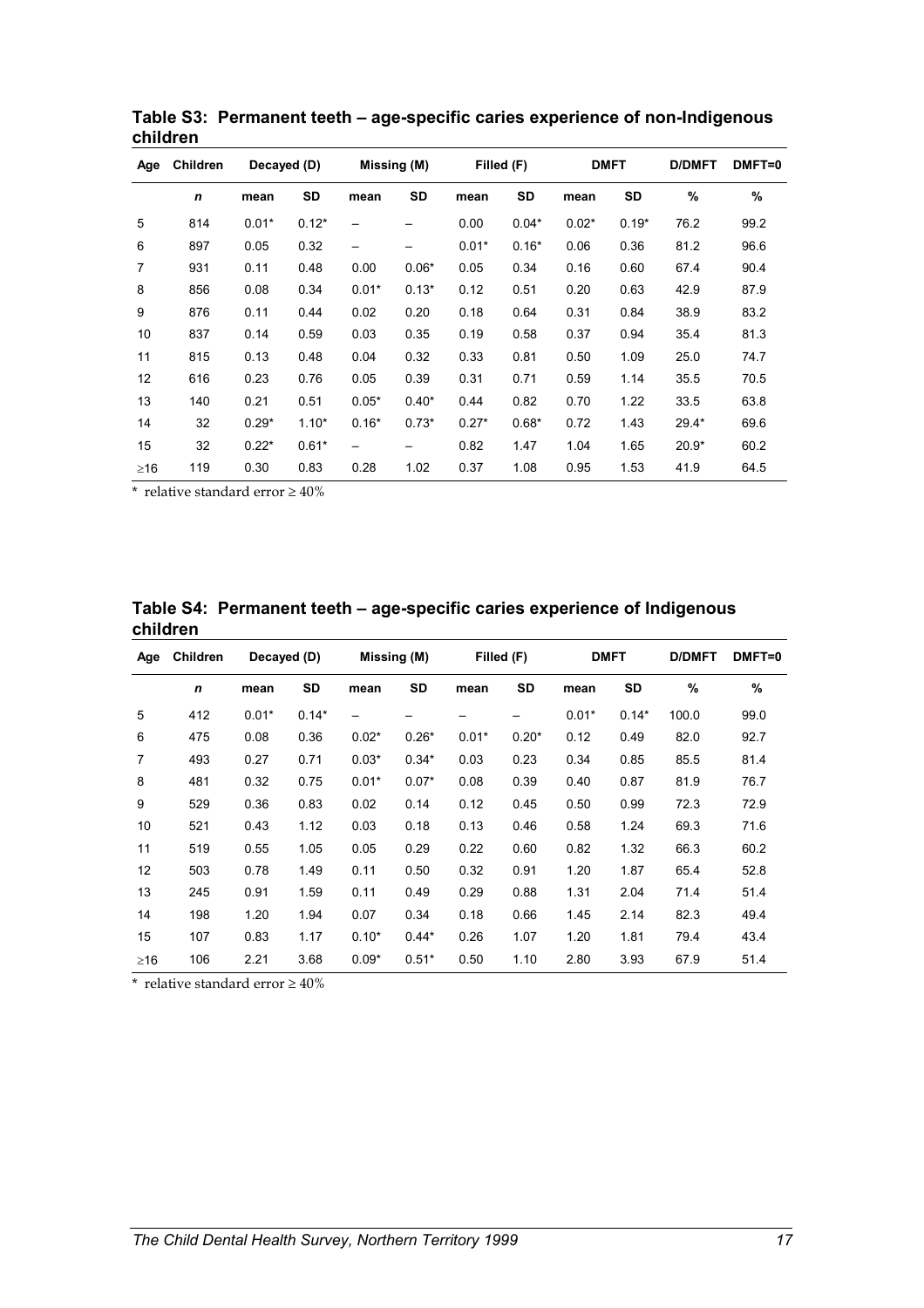| Age       | <b>Children</b> | Decayed (D) |         | Missing (M)              |         | Filled (F) |         | <b>DMFT</b> |         | <b>D/DMFT</b> | DMFT=0 |
|-----------|-----------------|-------------|---------|--------------------------|---------|------------|---------|-------------|---------|---------------|--------|
|           | $\mathbf n$     | mean        | SD      | mean                     | SD      | mean       | SD      | mean        | SD      | $\%$          | %      |
| 5         | 814             | $0.01*$     | $0.12*$ | —                        |         | 0.00       | $0.04*$ | $0.02*$     | $0.19*$ | 76.2          | 99.2   |
| 6         | 897             | 0.05        | 0.32    | $\overline{\phantom{m}}$ |         | $0.01*$    | $0.16*$ | 0.06        | 0.36    | 81.2          | 96.6   |
| 7         | 931             | 0.11        | 0.48    | 0.00                     | $0.06*$ | 0.05       | 0.34    | 0.16        | 0.60    | 67.4          | 90.4   |
| 8         | 856             | 0.08        | 0.34    | $0.01*$                  | $0.13*$ | 0.12       | 0.51    | 0.20        | 0.63    | 42.9          | 87.9   |
| 9         | 876             | 0.11        | 0.44    | 0.02                     | 0.20    | 0.18       | 0.64    | 0.31        | 0.84    | 38.9          | 83.2   |
| 10        | 837             | 0.14        | 0.59    | 0.03                     | 0.35    | 0.19       | 0.58    | 0.37        | 0.94    | 35.4          | 81.3   |
| 11        | 815             | 0.13        | 0.48    | 0.04                     | 0.32    | 0.33       | 0.81    | 0.50        | 1.09    | 25.0          | 74.7   |
| 12        | 616             | 0.23        | 0.76    | 0.05                     | 0.39    | 0.31       | 0.71    | 0.59        | 1.14    | 35.5          | 70.5   |
| 13        | 140             | 0.21        | 0.51    | $0.05*$                  | $0.40*$ | 0.44       | 0.82    | 0.70        | 1.22    | 33.5          | 63.8   |
| 14        | 32              | $0.29*$     | $1.10*$ | $0.16*$                  | $0.73*$ | $0.27*$    | $0.68*$ | 0.72        | 1.43    | $29.4*$       | 69.6   |
| 15        | 32              | $0.22*$     | $0.61*$ | $\overline{\phantom{m}}$ |         | 0.82       | 1.47    | 1.04        | 1.65    | $20.9*$       | 60.2   |
| $\geq$ 16 | 119             | 0.30        | 0.83    | 0.28                     | 1.02    | 0.37       | 1.08    | 0.95        | 1.53    | 41.9          | 64.5   |

**Table S3: Permanent teeth – age-specific caries experience of non-Indigenous children** 

\* relative standard error  $\geq 40\%$ 

|          | Table S4: Permanent teeth – age-specific caries experience of Indigenous |
|----------|--------------------------------------------------------------------------|
| children |                                                                          |

| Age            | Children    | Decayed (D) |         | Missing (M) |           | Filled (F) |           | <b>DMFT</b> |           | <b>D/DMFT</b> | DMFT=0 |
|----------------|-------------|-------------|---------|-------------|-----------|------------|-----------|-------------|-----------|---------------|--------|
|                | $\mathbf n$ | mean        | SD      | mean        | <b>SD</b> | mean       | <b>SD</b> | mean        | <b>SD</b> | $\%$          | $\%$   |
| 5              | 412         | $0.01*$     | $0.14*$ | —           |           |            |           | $0.01*$     | $0.14*$   | 100.0         | 99.0   |
| 6              | 475         | 0.08        | 0.36    | $0.02*$     | $0.26*$   | $0.01*$    | $0.20*$   | 0.12        | 0.49      | 82.0          | 92.7   |
| $\overline{7}$ | 493         | 0.27        | 0.71    | $0.03*$     | $0.34*$   | 0.03       | 0.23      | 0.34        | 0.85      | 85.5          | 81.4   |
| 8              | 481         | 0.32        | 0.75    | $0.01*$     | $0.07*$   | 0.08       | 0.39      | 0.40        | 0.87      | 81.9          | 76.7   |
| 9              | 529         | 0.36        | 0.83    | 0.02        | 0.14      | 0.12       | 0.45      | 0.50        | 0.99      | 72.3          | 72.9   |
| 10             | 521         | 0.43        | 1.12    | 0.03        | 0.18      | 0.13       | 0.46      | 0.58        | 1.24      | 69.3          | 71.6   |
| 11             | 519         | 0.55        | 1.05    | 0.05        | 0.29      | 0.22       | 0.60      | 0.82        | 1.32      | 66.3          | 60.2   |
| 12             | 503         | 0.78        | 1.49    | 0.11        | 0.50      | 0.32       | 0.91      | 1.20        | 1.87      | 65.4          | 52.8   |
| 13             | 245         | 0.91        | 1.59    | 0.11        | 0.49      | 0.29       | 0.88      | 1.31        | 2.04      | 71.4          | 51.4   |
| 14             | 198         | 1.20        | 1.94    | 0.07        | 0.34      | 0.18       | 0.66      | 1.45        | 2.14      | 82.3          | 49.4   |
| 15             | 107         | 0.83        | 1.17    | $0.10*$     | $0.44*$   | 0.26       | 1.07      | 1.20        | 1.81      | 79.4          | 43.4   |
| $\geq$ 16      | 106         | 2.21        | 3.68    | $0.09*$     | $0.51*$   | 0.50       | 1.10      | 2.80        | 3.93      | 67.9          | 51.4   |

\* relative standard error  $\geq 40\%$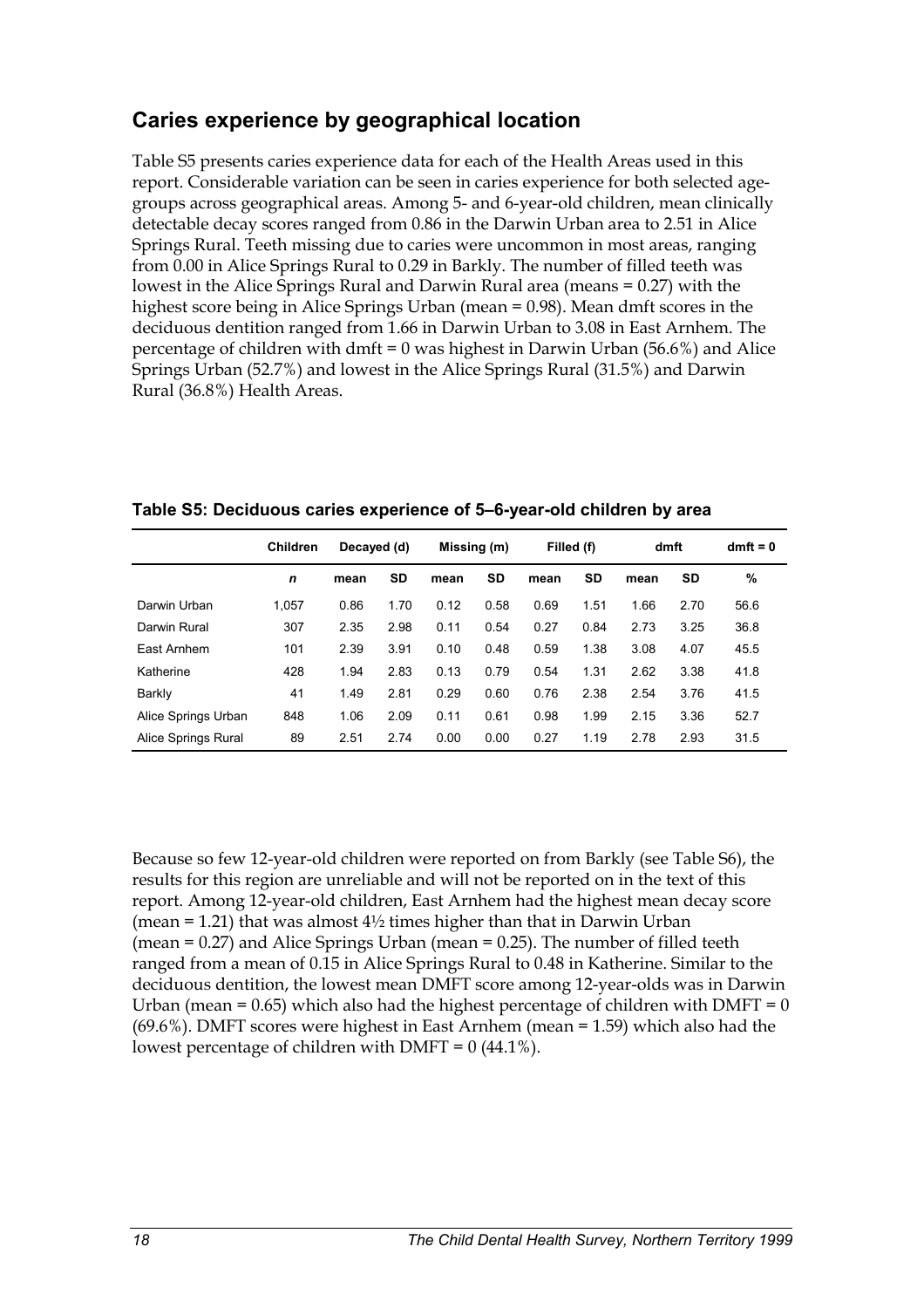## **Caries experience by geographical location**

Table S5 presents caries experience data for each of the Health Areas used in this report. Considerable variation can be seen in caries experience for both selected agegroups across geographical areas. Among 5- and 6-year-old children, mean clinically detectable decay scores ranged from 0.86 in the Darwin Urban area to 2.51 in Alice Springs Rural. Teeth missing due to caries were uncommon in most areas, ranging from 0.00 in Alice Springs Rural to 0.29 in Barkly. The number of filled teeth was lowest in the Alice Springs Rural and Darwin Rural area (means = 0.27) with the highest score being in Alice Springs Urban (mean = 0.98). Mean dmft scores in the deciduous dentition ranged from 1.66 in Darwin Urban to 3.08 in East Arnhem. The percentage of children with dmft = 0 was highest in Darwin Urban (56.6%) and Alice Springs Urban (52.7%) and lowest in the Alice Springs Rural (31.5%) and Darwin Rural (36.8%) Health Areas.

|                     | <b>Children</b> | Decayed (d) |           | Missing (m) |           | Filled (f) |           | dmft |           | $dmft = 0$ |
|---------------------|-----------------|-------------|-----------|-------------|-----------|------------|-----------|------|-----------|------------|
|                     | n               | mean        | <b>SD</b> | mean        | <b>SD</b> | mean       | <b>SD</b> | mean | <b>SD</b> | %          |
| Darwin Urban        | 1,057           | 0.86        | 1.70      | 0.12        | 0.58      | 0.69       | 1.51      | 1.66 | 2.70      | 56.6       |
| Darwin Rural        | 307             | 2.35        | 2.98      | 0.11        | 0.54      | 0.27       | 0.84      | 2.73 | 3.25      | 36.8       |
| East Arnhem         | 101             | 2.39        | 3.91      | 0.10        | 0.48      | 0.59       | 1.38      | 3.08 | 4.07      | 45.5       |
| Katherine           | 428             | 1.94        | 2.83      | 0.13        | 0.79      | 0.54       | 1.31      | 2.62 | 3.38      | 41.8       |
| Barkly              | 41              | 1.49        | 2.81      | 0.29        | 0.60      | 0.76       | 2.38      | 2.54 | 3.76      | 41.5       |
| Alice Springs Urban | 848             | 1.06        | 2.09      | 0.11        | 0.61      | 0.98       | 1.99      | 2.15 | 3.36      | 52.7       |
| Alice Springs Rural | 89              | 2.51        | 2.74      | 0.00        | 0.00      | 0.27       | 1.19      | 2.78 | 2.93      | 31.5       |

**Table S5: Deciduous caries experience of 5–6-year-old children by area** 

Because so few 12-year-old children were reported on from Barkly (see Table S6), the results for this region are unreliable and will not be reported on in the text of this report. Among 12-year-old children, East Arnhem had the highest mean decay score (mean = 1.21) that was almost  $4\frac{1}{2}$  times higher than that in Darwin Urban (mean  $= 0.27$ ) and Alice Springs Urban (mean  $= 0.25$ ). The number of filled teeth ranged from a mean of 0.15 in Alice Springs Rural to 0.48 in Katherine. Similar to the deciduous dentition, the lowest mean DMFT score among 12-year-olds was in Darwin Urban (mean =  $0.65$ ) which also had the highest percentage of children with DMFT =  $0$ (69.6%). DMFT scores were highest in East Arnhem (mean = 1.59) which also had the lowest percentage of children with DMFT =  $0(44.1\%)$ .